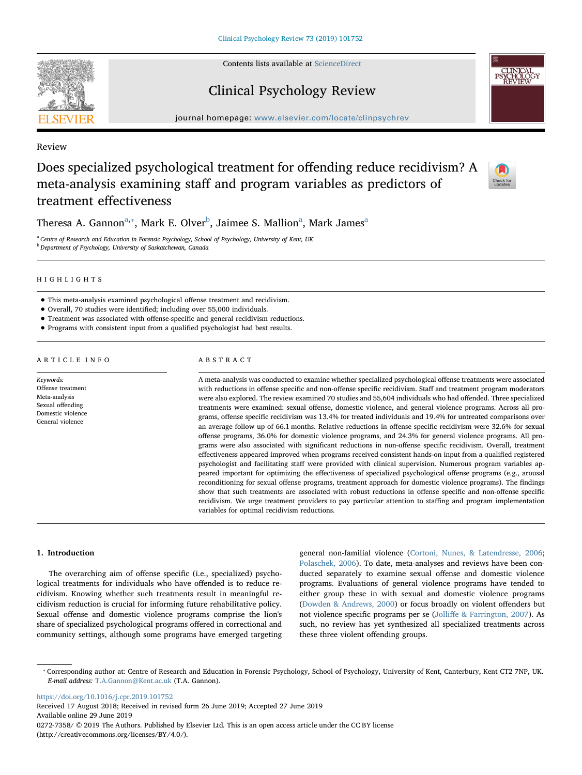Contents lists available at [ScienceDirect](http://www.sciencedirect.com/science/journal/02727358)

# Clinical Psychology Review

journal homepage: [www.elsevier.com/locate/clinpsychrev](https://www.elsevier.com/locate/clinpsychrev)

Review

# Does specialized psychological treatment for offending reduce recidivism? A meta-analysis examining staff and program variables as predictors of treatment effectiveness



Theres[a](#page-0-0) A. Gannon $\mathrm{^{a,*},~}$  $\mathrm{^{a,*},~}$  $\mathrm{^{a,*},~}$ Mark E. Olver $\mathrm{^{b},~}$  $\mathrm{^{b},~}$  $\mathrm{^{b},~}$ Jaimee S. Mallion $\mathrm{^{a},~}$ Mark James $\mathrm{^{a}}$ 

<span id="page-0-2"></span><span id="page-0-0"></span><sup>a</sup> Centre of Research and Education in Forensic Psychology, School of Psychology, University of Kent, UK **b** Department of Psychology, University of Saskatchewan, Canada

# HIGHLIGHTS

- This meta-analysis examined psychological offense treatment and recidivism.
- Overall, 70 studies were identified; including over 55,000 individuals.
- Treatment was associated with offense-specific and general recidivism reductions.
- Programs with consistent input from a qualified psychologist had best results.

# ARTICLE INFO

Keywords: Offense treatment Meta-analysis Sexual offending Domestic violence General violence

# ABSTRACT

A meta-analysis was conducted to examine whether specialized psychological offense treatments were associated with reductions in offense specific and non-offense specific recidivism. Staff and treatment program moderators were also explored. The review examined 70 studies and 55,604 individuals who had offended. Three specialized treatments were examined: sexual offense, domestic violence, and general violence programs. Across all programs, offense specific recidivism was 13.4% for treated individuals and 19.4% for untreated comparisons over an average follow up of 66.1 months. Relative reductions in offense specific recidivism were 32.6% for sexual offense programs, 36.0% for domestic violence programs, and 24.3% for general violence programs. All programs were also associated with significant reductions in non-offense specific recidivism. Overall, treatment effectiveness appeared improved when programs received consistent hands-on input from a qualified registered psychologist and facilitating staff were provided with clinical supervision. Numerous program variables appeared important for optimizing the effectiveness of specialized psychological offense programs (e.g., arousal reconditioning for sexual offense programs, treatment approach for domestic violence programs). The findings show that such treatments are associated with robust reductions in offense specific and non-offense specific recidivism. We urge treatment providers to pay particular attention to staffing and program implementation variables for optimal recidivism reductions.

## 1. Introduction

The overarching aim of offense specific (i.e., specialized) psychological treatments for individuals who have offended is to reduce recidivism. Knowing whether such treatments result in meaningful recidivism reduction is crucial for informing future rehabilitative policy. Sexual offense and domestic violence programs comprise the lion's share of specialized psychological programs offered in correctional and community settings, although some programs have emerged targeting general non-familial violence ([Cortoni, Nunes, & Latendresse, 2006](#page-16-0); [Polaschek, 2006\)](#page-17-0). To date, meta-analyses and reviews have been conducted separately to examine sexual offense and domestic violence programs. Evaluations of general violence programs have tended to either group these in with sexual and domestic violence programs ([Dowden & Andrews, 2000\)](#page-16-1) or focus broadly on violent offenders but not violence specific programs per se (Jolliff[e & Farrington, 2007](#page-16-2)). As such, no review has yet synthesized all specialized treatments across these three violent offending groups.

<https://doi.org/10.1016/j.cpr.2019.101752>

Received 17 August 2018; Received in revised form 26 June 2019; Accepted 27 June 2019 Available online 29 June 2019 0272-7358/ © 2019 The Authors. Published by Elsevier Ltd. This is an open access article under the CC BY license (http://creativecommons.org/licenses/BY/4.0/).

<span id="page-0-1"></span><sup>⁎</sup> Corresponding author at: Centre of Research and Education in Forensic Psychology, School of Psychology, University of Kent, Canterbury, Kent CT2 7NP, UK. E-mail address: [T.A.Gannon@Kent.ac.uk](mailto:T.A.Gannon@Kent.ac.uk) (T.A. Gannon).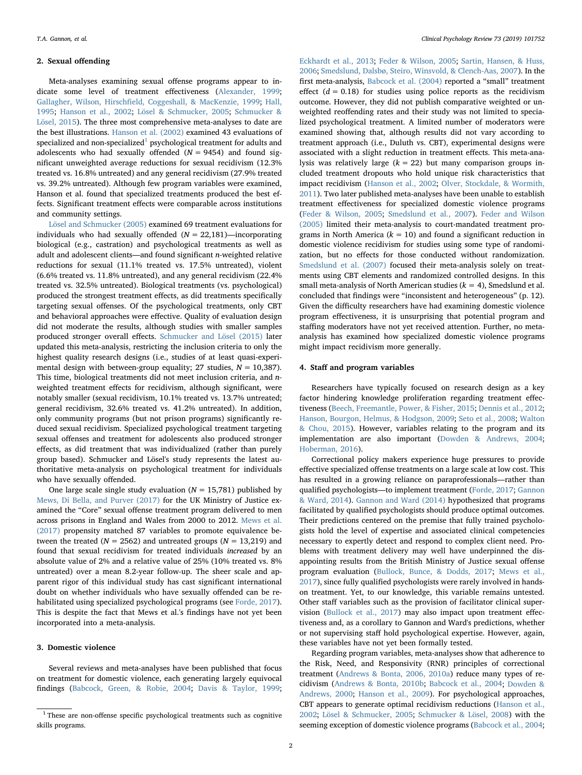#### 2. Sexual offending

Meta-analyses examining sexual offense programs appear to indicate some level of treatment effectiveness ([Alexander, 1999](#page-16-3); Gallagher, Wilson, Hirschfi[eld, Coggeshall, & MacKenzie, 1999](#page-16-4); [Hall,](#page-16-5) [1995;](#page-16-5) [Hanson et al., 2002;](#page-16-6) [Lösel & Schmucker, 2005;](#page-16-7) [Schmucker &](#page-17-1) [Lösel, 2015](#page-17-1)). The three most comprehensive meta-analyses to date are the best illustrations. [Hanson et al. \(2002\)](#page-16-6) examined 43 evaluations of specialized and non-specialized<sup>[1](#page-1-0)</sup> psychological treatment for adults and adolescents who had sexually offended  $(N = 9454)$  and found significant unweighted average reductions for sexual recidivism (12.3% treated vs. 16.8% untreated) and any general recidivism (27.9% treated vs. 39.2% untreated). Although few program variables were examined, Hanson et al. found that specialized treatments produced the best effects. Significant treatment effects were comparable across institutions and community settings.

[Lösel and Schmucker \(2005\)](#page-16-7) examined 69 treatment evaluations for individuals who had sexually offended  $(N = 22,181)$ —incorporating biological (e.g., castration) and psychological treatments as well as adult and adolescent clients—and found significant n-weighted relative reductions for sexual (11.1% treated vs. 17.5% untreated), violent (6.6% treated vs. 11.8% untreated), and any general recidivism (22.4% treated vs. 32.5% untreated). Biological treatments (vs. psychological) produced the strongest treatment effects, as did treatments specifically targeting sexual offenses. Of the psychological treatments, only CBT and behavioral approaches were effective. Quality of evaluation design did not moderate the results, although studies with smaller samples produced stronger overall effects. [Schmucker and Lösel \(2015\)](#page-17-1) later updated this meta-analysis, restricting the inclusion criteria to only the highest quality research designs (i.e., studies of at least quasi-experimental design with between-group equality; 27 studies,  $N = 10,387$ ). This time, biological treatments did not meet inclusion criteria, and nweighted treatment effects for recidivism, although significant, were notably smaller (sexual recidivism, 10.1% treated vs. 13.7% untreated; general recidivism, 32.6% treated vs. 41.2% untreated). In addition, only community programs (but not prison programs) significantly reduced sexual recidivism. Specialized psychological treatment targeting sexual offenses and treatment for adolescents also produced stronger effects, as did treatment that was individualized (rather than purely group based). Schmucker and Lösel's study represents the latest authoritative meta-analysis on psychological treatment for individuals who have sexually offended.

One large scale single study evaluation ( $N = 15,781$ ) published by [Mews, Di Bella, and Purver \(2017\)](#page-16-8) for the UK Ministry of Justice examined the "Core" sexual offense treatment program delivered to men across prisons in England and Wales from 2000 to 2012. [Mews et al.](#page-16-8) [\(2017\)](#page-16-8) propensity matched 87 variables to promote equivalence between the treated ( $N = 2562$ ) and untreated groups ( $N = 13,219$ ) and found that sexual recidivism for treated individuals increased by an absolute value of 2% and a relative value of 25% (10% treated vs. 8% untreated) over a mean 8.2-year follow-up. The sheer scale and apparent rigor of this individual study has cast significant international doubt on whether individuals who have sexually offended can be rehabilitated using specialized psychological programs (see [Forde, 2017](#page-16-9)). This is despite the fact that Mews et al.'s findings have not yet been incorporated into a meta-analysis.

# 3. Domestic violence

Several reviews and meta-analyses have been published that focus on treatment for domestic violence, each generating largely equivocal findings [\(Babcock, Green, & Robie, 2004;](#page-16-10) [Davis & Taylor, 1999](#page-16-11);

[Eckhardt et al., 2013;](#page-16-12) [Feder & Wilson, 2005](#page-16-13); [Sartin, Hansen, & Huss,](#page-17-2) [2006;](#page-17-2) [Smedslund, Dalsbø, Steiro, Winsvold, & Clench-Aas, 2007](#page-17-3)). In the first meta-analysis, [Babcock et al. \(2004\)](#page-16-10) reported a "small" treatment effect  $(d = 0.18)$  for studies using police reports as the recidivism outcome. However, they did not publish comparative weighted or unweighted reoffending rates and their study was not limited to specialized psychological treatment. A limited number of moderators were examined showing that, although results did not vary according to treatment approach (i.e., Duluth vs. CBT), experimental designs were associated with a slight reduction in treatment effects. This meta-analysis was relatively large  $(k = 22)$  but many comparison groups included treatment dropouts who hold unique risk characteristics that impact recidivism [\(Hanson et al., 2002;](#page-16-6) [Olver, Stockdale, & Wormith,](#page-17-4) [2011\)](#page-17-4). Two later published meta-analyses have been unable to establish treatment effectiveness for specialized domestic violence programs ([Feder & Wilson, 2005](#page-16-13); [Smedslund et al., 2007](#page-17-3)). [Feder and Wilson](#page-16-13) [\(2005\)](#page-16-13) limited their meta-analysis to court-mandated treatment programs in North America ( $k = 10$ ) and found a significant reduction in domestic violence recidivism for studies using some type of randomization, but no effects for those conducted without randomization. [Smedslund et al. \(2007\)](#page-17-3) focused their meta-analysis solely on treatments using CBT elements and randomized controlled designs. In this small meta-analysis of North American studies ( $k = 4$ ), Smedslund et al. concluded that findings were "inconsistent and heterogeneous" (p. 12). Given the difficulty researchers have had examining domestic violence program effectiveness, it is unsurprising that potential program and staffing moderators have not yet received attention. Further, no metaanalysis has examined how specialized domestic violence programs might impact recidivism more generally.

## 4. Staff and program variables

Researchers have typically focused on research design as a key factor hindering knowledge proliferation regarding treatment effectiveness ([Beech, Freemantle, Power, & Fisher, 2015;](#page-16-14) [Dennis et al., 2012](#page-16-15); [Hanson, Bourgon, Helmus, & Hodgson, 2009](#page-16-16); [Seto et al., 2008;](#page-17-5) [Walton](#page-17-6) [& Chou, 2015\)](#page-17-6). However, variables relating to the program and its implementation are also important ([Dowden & Andrews, 2004](#page-16-17); [Hoberman, 2016\)](#page-16-18).

Correctional policy makers experience huge pressures to provide effective specialized offense treatments on a large scale at low cost. This has resulted in a growing reliance on paraprofessionals—rather than qualified psychologists—to implement treatment [\(Forde, 2017;](#page-16-9) [Gannon](#page-16-19) [& Ward, 2014\)](#page-16-19). [Gannon and Ward \(2014\)](#page-16-19) hypothesized that programs facilitated by qualified psychologists should produce optimal outcomes. Their predictions centered on the premise that fully trained psychologists hold the level of expertise and associated clinical competencies necessary to expertly detect and respond to complex client need. Problems with treatment delivery may well have underpinned the disappointing results from the British Ministry of Justice sexual offense program evaluation ([Bullock, Bunce, & Dodds, 2017](#page-16-20); [Mews et al.,](#page-16-8) [2017\)](#page-16-8), since fully qualified psychologists were rarely involved in handson treatment. Yet, to our knowledge, this variable remains untested. Other staff variables such as the provision of facilitator clinical supervision [\(Bullock et al., 2017\)](#page-16-20) may also impact upon treatment effectiveness and, as a corollary to Gannon and Ward's predictions, whether or not supervising staff hold psychological expertise. However, again, these variables have not yet been formally tested.

Regarding program variables, meta-analyses show that adherence to the Risk, Need, and Responsivity (RNR) principles of correctional treatment [\(Andrews & Bonta, 2006, 2010a\)](#page-16-21) reduce many types of recidivism ([Andrews & Bonta, 2010b;](#page-16-22) [Babcock et al., 2004](#page-16-10); [Dowden](#page-16-1) & [Andrews, 2000](#page-16-1); [Hanson et al., 2009\)](#page-16-16). For psychological approaches, CBT appears to generate optimal recidivism reductions [\(Hanson et al.,](#page-16-6) [2002;](#page-16-6) [Lösel & Schmucker, 2005;](#page-16-7) [Schmucker & Lösel, 2008\)](#page-17-7) with the seeming exception of domestic violence programs ([Babcock et al., 2004](#page-16-10);

<span id="page-1-0"></span><sup>&</sup>lt;sup>1</sup> These are non-offense specific psychological treatments such as cognitive skills programs.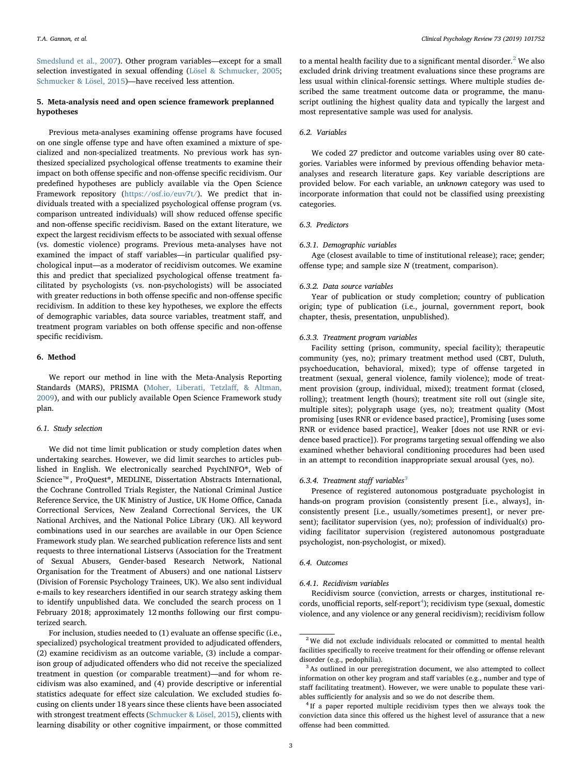[Smedslund et al., 2007](#page-17-3)). Other program variables—except for a small selection investigated in sexual offending ([Lösel & Schmucker, 2005](#page-16-7); [Schmucker & Lösel, 2015](#page-17-1))—have received less attention.

# 5. Meta-analysis need and open science framework preplanned hypotheses

Previous meta-analyses examining offense programs have focused on one single offense type and have often examined a mixture of specialized and non-specialized treatments. No previous work has synthesized specialized psychological offense treatments to examine their impact on both offense specific and non-offense specific recidivism. Our predefined hypotheses are publicly available via the Open Science Framework repository [\(https://osf.io/euv7t/\)](https://osf.io/euv7t/). We predict that individuals treated with a specialized psychological offense program (vs. comparison untreated individuals) will show reduced offense specific and non-offense specific recidivism. Based on the extant literature, we expect the largest recidivism effects to be associated with sexual offense (vs. domestic violence) programs. Previous meta-analyses have not examined the impact of staff variables—in particular qualified psychological input—as a moderator of recidivism outcomes. We examine this and predict that specialized psychological offense treatment facilitated by psychologists (vs. non-psychologists) will be associated with greater reductions in both offense specific and non-offense specific recidivism. In addition to these key hypotheses, we explore the effects of demographic variables, data source variables, treatment staff, and treatment program variables on both offense specific and non-offense specific recidivism.

# 6. Method

We report our method in line with the Meta-Analysis Reporting Standards (MARS), PRISMA [\(Moher, Liberati, Tetzla](#page-17-8)ff, & Altman, [2009\)](#page-17-8), and with our publicly available Open Science Framework study plan.

## 6.1. Study selection

We did not time limit publication or study completion dates when undertaking searches. However, we did limit searches to articles published in English. We electronically searched PsychINFO®, Web of Science™, ProQuest®, MEDLINE, Dissertation Abstracts International, the Cochrane Controlled Trials Register, the National Criminal Justice Reference Service, the UK Ministry of Justice, UK Home Office, Canada Correctional Services, New Zealand Correctional Services, the UK National Archives, and the National Police Library (UK). All keyword combinations used in our searches are available in our Open Science Framework study plan. We searched publication reference lists and sent requests to three international Listservs (Association for the Treatment of Sexual Abusers, Gender-based Research Network, National Organisation for the Treatment of Abusers) and one national Listserv (Division of Forensic Psychology Trainees, UK). We also sent individual e-mails to key researchers identified in our search strategy asking them to identify unpublished data. We concluded the search process on 1 February 2018; approximately 12 months following our first computerized search.

For inclusion, studies needed to (1) evaluate an offense specific (i.e., specialized) psychological treatment provided to adjudicated offenders, (2) examine recidivism as an outcome variable, (3) include a comparison group of adjudicated offenders who did not receive the specialized treatment in question (or comparable treatment)—and for whom recidivism was also examined, and (4) provide descriptive or inferential statistics adequate for effect size calculation. We excluded studies focusing on clients under 18 years since these clients have been associated with strongest treatment effects ([Schmucker & Lösel, 2015\)](#page-17-1), clients with learning disability or other cognitive impairment, or those committed to a mental health facility due to a significant mental disorder.<sup>[2](#page-2-0)</sup> We also excluded drink driving treatment evaluations since these programs are less usual within clinical-forensic settings. Where multiple studies described the same treatment outcome data or programme, the manuscript outlining the highest quality data and typically the largest and most representative sample was used for analysis.

# 6.2. Variables

We coded 27 predictor and outcome variables using over 80 categories. Variables were informed by previous offending behavior metaanalyses and research literature gaps. Key variable descriptions are provided below. For each variable, an unknown category was used to incorporate information that could not be classified using preexisting categories.

# 6.3. Predictors

# 6.3.1. Demographic variables

Age (closest available to time of institutional release); race; gender; offense type; and sample size N (treatment, comparison).

## 6.3.2. Data source variables

Year of publication or study completion; country of publication origin; type of publication (i.e., journal, government report, book chapter, thesis, presentation, unpublished).

#### 6.3.3. Treatment program variables

Facility setting (prison, community, special facility); therapeutic community (yes, no); primary treatment method used (CBT, Duluth, psychoeducation, behavioral, mixed); type of offense targeted in treatment (sexual, general violence, family violence); mode of treatment provision (group, individual, mixed); treatment format (closed, rolling); treatment length (hours); treatment site roll out (single site, multiple sites); polygraph usage (yes, no); treatment quality (Most promising [uses RNR or evidence based practice], Promising [uses some RNR or evidence based practice], Weaker [does not use RNR or evidence based practice]). For programs targeting sexual offending we also examined whether behavioral conditioning procedures had been used in an attempt to recondition inappropriate sexual arousal (yes, no).

#### 6.[3](#page-2-1).4. Treatment staff variables $3$

Presence of registered autonomous postgraduate psychologist in hands-on program provision (consistently present [i.e., always], inconsistently present [i.e., usually/sometimes present], or never present); facilitator supervision (yes, no); profession of individual(s) providing facilitator supervision (registered autonomous postgraduate psychologist, non-psychologist, or mixed).

## 6.4. Outcomes

#### 6.4.1. Recidivism variables

Recidivism source (conviction, arrests or charges, institutional re-cords, unofficial reports, self-report<sup>[4](#page-2-2)</sup>); recidivism type (sexual, domestic violence, and any violence or any general recidivism); recidivism follow

<span id="page-2-0"></span><sup>&</sup>lt;sup>2</sup> We did not exclude individuals relocated or committed to mental health facilities specifically to receive treatment for their offending or offense relevant disorder (e.g., pedophilia).

<span id="page-2-1"></span><sup>&</sup>lt;sup>3</sup> As outlined in our preregistration document, we also attempted to collect information on other key program and staff variables (e.g., number and type of staff facilitating treatment). However, we were unable to populate these variables sufficiently for analysis and so we do not describe them.

<span id="page-2-2"></span><sup>&</sup>lt;sup>4</sup> If a paper reported multiple recidivism types then we always took the conviction data since this offered us the highest level of assurance that a new offense had been committed.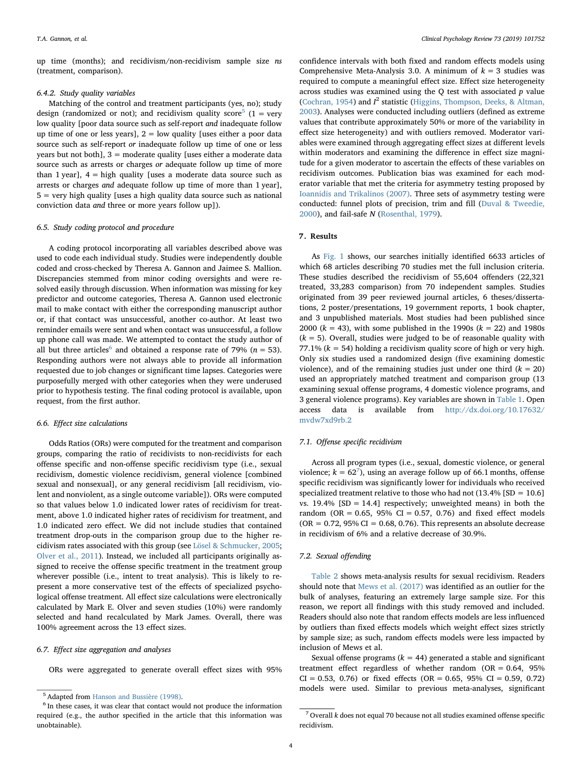up time (months); and recidivism/non-recidivism sample size ns (treatment, comparison).

# 6.4.2. Study quality variables

Matching of the control and treatment participants (yes, no); study design (randomized or not); and recidivism quality score<sup>[5](#page-3-0)</sup> (1 = very low quality [poor data source such as self-report and inadequate follow up time of one or less years],  $2 =$  low quality [uses either a poor data source such as self-report or inadequate follow up time of one or less years but not both], 3 = moderate quality [uses either a moderate data source such as arrests or charges or adequate follow up time of more than 1 year],  $4 =$  high quality [uses a moderate data source such as arrests or charges and adequate follow up time of more than 1 year],  $5 =$  very high quality [uses a high quality data source such as national conviction data and three or more years follow up]).

# 6.5. Study coding protocol and procedure

A coding protocol incorporating all variables described above was used to code each individual study. Studies were independently double coded and cross-checked by Theresa A. Gannon and Jaimee S. Mallion. Discrepancies stemmed from minor coding oversights and were resolved easily through discussion. When information was missing for key predictor and outcome categories, Theresa A. Gannon used electronic mail to make contact with either the corresponding manuscript author or, if that contact was unsuccessful, another co-author. At least two reminder emails were sent and when contact was unsuccessful, a follow up phone call was made. We attempted to contact the study author of all but three articles<sup>[6](#page-3-1)</sup> and obtained a response rate of 79% ( $n = 53$ ). Responding authors were not always able to provide all information requested due to job changes or significant time lapses. Categories were purposefully merged with other categories when they were underused prior to hypothesis testing. The final coding protocol is available, upon request, from the first author.

# 6.6. Effect size calculations

Odds Ratios (ORs) were computed for the treatment and comparison groups, comparing the ratio of recidivists to non-recidivists for each offense specific and non-offense specific recidivism type (i.e., sexual recidivism, domestic violence recidivism, general violence [combined sexual and nonsexual], or any general recidivism [all recidivism, violent and nonviolent, as a single outcome variable]). ORs were computed so that values below 1.0 indicated lower rates of recidivism for treatment, above 1.0 indicated higher rates of recidivism for treatment, and 1.0 indicated zero effect. We did not include studies that contained treatment drop-outs in the comparison group due to the higher recidivism rates associated with this group (see [Lösel & Schmucker, 2005](#page-16-7); [Olver et al., 2011\)](#page-17-4). Instead, we included all participants originally assigned to receive the offense specific treatment in the treatment group wherever possible (i.e., intent to treat analysis). This is likely to represent a more conservative test of the effects of specialized psychological offense treatment. All effect size calculations were electronically calculated by Mark E. Olver and seven studies (10%) were randomly selected and hand recalculated by Mark James. Overall, there was 100% agreement across the 13 effect sizes.

## 6.7. Effect size aggregation and analyses

ORs were aggregated to generate overall effect sizes with 95%

confidence intervals with both fixed and random effects models using Comprehensive Meta-Analysis 3.0. A minimum of  $k = 3$  studies was required to compute a meaningful effect size. Effect size heterogeneity across studies was examined using the  $Q$  test with associated  $p$  value ([Cochran, 1954\)](#page-16-23) and  $I^2$  statistic [\(Higgins, Thompson, Deeks, & Altman,](#page-16-24) [2003\)](#page-16-24). Analyses were conducted including outliers (defined as extreme values that contribute approximately 50% or more of the variability in effect size heterogeneity) and with outliers removed. Moderator variables were examined through aggregating effect sizes at different levels within moderators and examining the difference in effect size magnitude for a given moderator to ascertain the effects of these variables on recidivism outcomes. Publication bias was examined for each moderator variable that met the criteria for asymmetry testing proposed by [Ioannidis and Trikalinos \(2007\).](#page-16-25) Three sets of asymmetry testing were conducted: funnel plots of precision, trim and fill ([Duval & Tweedie,](#page-16-26) [2000\)](#page-16-26), and fail-safe N ([Rosenthal, 1979](#page-17-9)).

# 7. Results

As [Fig. 1](#page-4-0) shows, our searches initially identified 6633 articles of which 68 articles describing 70 studies met the full inclusion criteria. These studies described the recidivism of 55,604 offenders (22,321 treated, 33,283 comparison) from 70 independent samples. Studies originated from 39 peer reviewed journal articles, 6 theses/dissertations, 2 poster/presentations, 19 government reports, 1 book chapter, and 3 unpublished materials. Most studies had been published since 2000 ( $k = 43$ ), with some published in the 1990s ( $k = 22$ ) and 1980s  $(k = 5)$ . Overall, studies were judged to be of reasonable quality with 77.1%  $(k = 54)$  holding a recidivism quality score of high or very high. Only six studies used a randomized design (five examining domestic violence), and of the remaining studies just under one third  $(k = 20)$ used an appropriately matched treatment and comparison group (13 examining sexual offense programs, 4 domestic violence programs, and 3 general violence programs). Key variables are shown in [Table 1.](#page-5-0) Open access data is available from [http://dx.doi.org/10.17632/](http://dx.doi.org/10.17632/mvdw7xd9rb.2) [mvdw7xd9rb.2](http://dx.doi.org/10.17632/mvdw7xd9rb.2)

## 7.1. Offense specific recidivism

Across all program types (i.e., sexual, domestic violence, or general violence;  $k = 62<sup>7</sup>$  $k = 62<sup>7</sup>$  $k = 62<sup>7</sup>$ ), using an average follow up of 66.1 months, offense specific recidivism was significantly lower for individuals who received specialized treatment relative to those who had not  $(13.4\%$  [SD = 10.6] vs.  $19.4\%$  [SD = 14.4] respectively; unweighted means) in both the random (OR =  $0.65$ ,  $95\%$  CI = 0.57, 0.76) and fixed effect models  $(OR = 0.72, 95\% CI = 0.68, 0.76)$ . This represents an absolute decrease in recidivism of 6% and a relative decrease of 30.9%.

# 7.2. Sexual offending

[Table 2](#page-6-0) shows meta-analysis results for sexual recidivism. Readers should note that [Mews et al. \(2017\)](#page-16-8) was identified as an outlier for the bulk of analyses, featuring an extremely large sample size. For this reason, we report all findings with this study removed and included. Readers should also note that random effects models are less influenced by outliers than fixed effects models which weight effect sizes strictly by sample size; as such, random effects models were less impacted by inclusion of Mews et al.

Sexual offense programs ( $k = 44$ ) generated a stable and significant treatment effect regardless of whether random (OR = 0.64, 95%  $CI = 0.53, 0.76$  or fixed effects (OR = 0.65, 95%  $CI = 0.59, 0.72$ ) models were used. Similar to previous meta-analyses, significant sales and Bussière (1998).

<span id="page-3-0"></span>

<span id="page-3-1"></span> $^6\!$  In these cases, it was clear that contact would not produce the information required (e.g., the author specified in the article that this information was unobtainable).

<span id="page-3-2"></span> $7$  Overall  $k$  does not equal 70 because not all studies examined offense specific recidivism.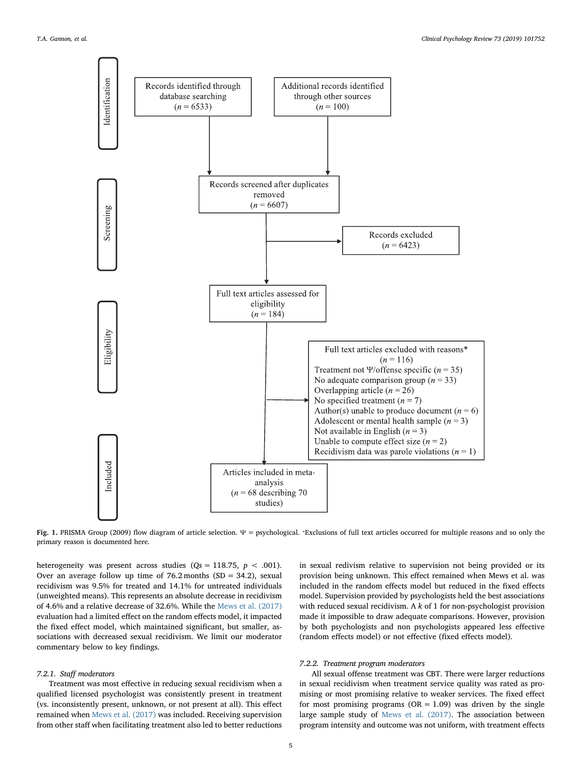<span id="page-4-0"></span>

Fig. 1. PRISMA Group (2009) flow diagram of article selection.  $\Psi =$  psychological. \*Exclusions of full text articles occurred for multiple reasons and so only the primary reason is documented here.

heterogeneity was present across studies ( $Qs = 118.75$ ,  $p < .001$ ). Over an average follow up time of  $76.2$  months (SD = 34.2), sexual recidivism was 9.5% for treated and 14.1% for untreated individuals (unweighted means). This represents an absolute decrease in recidivism of 4.6% and a relative decrease of 32.6%. While the [Mews et al. \(2017\)](#page-16-8) evaluation had a limited effect on the random effects model, it impacted the fixed effect model, which maintained significant, but smaller, associations with decreased sexual recidivism. We limit our moderator commentary below to key findings.

#### 7.2.1. Staff moderators

Treatment was most effective in reducing sexual recidivism when a qualified licensed psychologist was consistently present in treatment (vs. inconsistently present, unknown, or not present at all). This effect remained when [Mews et al. \(2017\)](#page-16-8) was included. Receiving supervision from other staff when facilitating treatment also led to better reductions in sexual redivism relative to supervision not being provided or its provision being unknown. This effect remained when Mews et al. was included in the random effects model but reduced in the fixed effects model. Supervision provided by psychologists held the best associations with reduced sexual recidivism. A  $k$  of 1 for non-psychologist provision made it impossible to draw adequate comparisons. However, provision by both psychologists and non psychologists appeared less effective (random effects model) or not effective (fixed effects model).

# 7.2.2. Treatment program moderators

All sexual offense treatment was CBT. There were larger reductions in sexual recidivism when treatment service quality was rated as promising or most promising relative to weaker services. The fixed effect for most promising programs ( $OR = 1.09$ ) was driven by the single large sample study of [Mews et al. \(2017\).](#page-16-8) The association between program intensity and outcome was not uniform, with treatment effects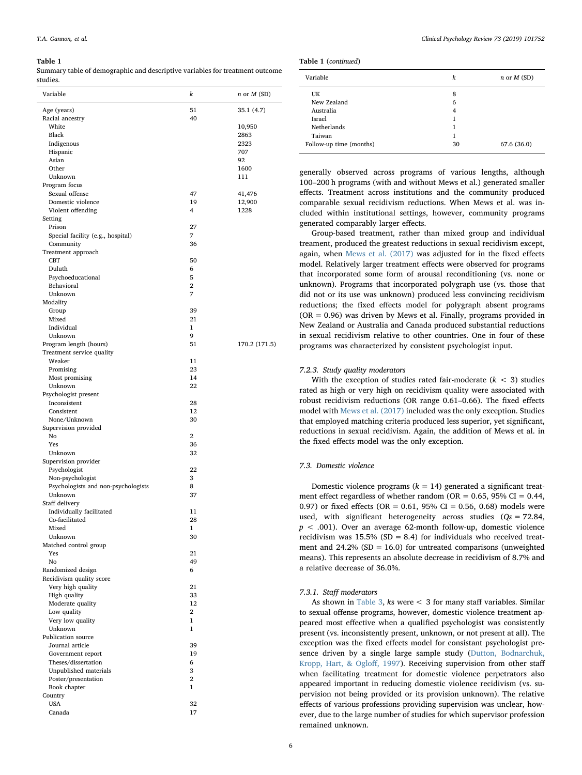<span id="page-5-0"></span>Summary table of demographic and descriptive variables for treatment outcome studies.

| Variable                                            | k              | $n$ or $M$ (SD) |
|-----------------------------------------------------|----------------|-----------------|
| Age (years)                                         | 51             | 35.1 (4.7)      |
| Racial ancestry                                     | 40             |                 |
| White                                               |                | 10,950          |
| Black                                               |                | 2863            |
| Indigenous                                          |                | 2323            |
| Hispanic                                            |                | 707             |
| Asian<br>Other                                      |                | 92<br>1600      |
| Unknown                                             |                | 111             |
| Program focus                                       |                |                 |
| Sexual offense                                      | 47             | 41,476          |
| Domestic violence                                   | 19             | 12,900          |
| Violent offending                                   | 4              | 1228            |
| Setting                                             |                |                 |
| Prison                                              | 27             |                 |
| Special facility (e.g., hospital)                   | 7              |                 |
| Community                                           | 36             |                 |
| Treatment approach<br><b>CBT</b>                    | 50             |                 |
| Duluth                                              | 6              |                 |
| Psychoeducational                                   | 5              |                 |
| Behavioral                                          | $\overline{2}$ |                 |
| Unknown                                             | 7              |                 |
| Modality                                            |                |                 |
| Group                                               | 39             |                 |
| Mixed                                               | 21             |                 |
| Individual                                          | $\mathbf{1}$   |                 |
| Unknown                                             | 9<br>51        |                 |
| Program length (hours)<br>Treatment service quality |                | 170.2 (171.5)   |
| Weaker                                              | 11             |                 |
| Promising                                           | 23             |                 |
| Most promising                                      | 14             |                 |
| Unknown                                             | 22             |                 |
| Psychologist present                                |                |                 |
| Inconsistent                                        | 28             |                 |
| Consistent                                          | 12             |                 |
| None/Unknown<br>Supervision provided                | 30             |                 |
| No                                                  | 2              |                 |
| Yes                                                 | 36             |                 |
| Unknown                                             | 32             |                 |
| Supervision provider                                |                |                 |
| Psychologist                                        | 22             |                 |
| Non-psychologist                                    | 3              |                 |
| Psychologists and non-psychologists                 | 8              |                 |
| Unknown<br>Staff delivery                           | 37             |                 |
| Individually facilitated                            | 11             |                 |
| Co-facilitated                                      | 28             |                 |
| Mixed                                               | $\mathbf{1}$   |                 |
| Unknown                                             | 30             |                 |
| Matched control group                               |                |                 |
| Yes                                                 | 21             |                 |
| No                                                  | 49             |                 |
| Randomized design                                   | 6              |                 |
| Recidivism quality score<br>Very high quality       | 21             |                 |
| High quality                                        | 33             |                 |
| Moderate quality                                    | 12             |                 |
| Low quality                                         | 2              |                 |
| Very low quality                                    | $\mathbf{1}$   |                 |
| Unknown                                             | $\mathbf{1}$   |                 |
| Publication source                                  |                |                 |
| Journal article                                     | 39             |                 |
| Government report                                   | 19             |                 |
| Theses/dissertation<br>Unpublished materials        | 6<br>3         |                 |
| Poster/presentation                                 | $\overline{2}$ |                 |
| Book chapter                                        | $\mathbf{1}$   |                 |
| Country                                             |                |                 |
| <b>USA</b>                                          | 32             |                 |
| Canada                                              | 17             |                 |
|                                                     |                |                 |

|  | Table 1 (continued) |
|--|---------------------|
|--|---------------------|

| Variable                | k  | $n$ or $M(SD)$ |
|-------------------------|----|----------------|
| UK                      | 8  |                |
| New Zealand             | 6  |                |
| Australia               | 4  |                |
| Israel                  | 1  |                |
| Netherlands             | 1  |                |
| Taiwan                  | 1  |                |
| Follow-up time (months) | 30 | 67.6 (36.0)    |

generally observed across programs of various lengths, although 100–200 h programs (with and without Mews et al.) generated smaller effects. Treatment across institutions and the community produced comparable sexual recidivism reductions. When Mews et al. was included within institutional settings, however, community programs generated comparably larger effects.

Group-based treatment, rather than mixed group and individual treament, produced the greatest reductions in sexual recidivism except, again, when [Mews et al. \(2017\)](#page-16-8) was adjusted for in the fixed effects model. Relatively larger treatment effects were observed for programs that incorporated some form of arousal reconditioning (vs. none or unknown). Programs that incorporated polygraph use (vs. those that did not or its use was unknown) produced less convincing recidivism reductions; the fixed effects model for polygraph absent programs  $(OR = 0.96)$  was driven by Mews et al. Finally, programs provided in New Zealand or Australia and Canada produced substantial reductions in sexual recidivism relative to other countries. One in four of these programs was characterized by consistent psychologist input.

# 7.2.3. Study quality moderators

With the exception of studies rated fair-moderate  $(k < 3)$  studies rated as high or very high on recidivism quality were associated with robust recidivism reductions (OR range 0.61–0.66). The fixed effects model with [Mews et al. \(2017\)](#page-16-8) included was the only exception. Studies that employed matching criteria produced less superior, yet significant, reductions in sexual recidivism. Again, the addition of Mews et al. in the fixed effects model was the only exception.

# 7.3. Domestic violence

Domestic violence programs  $(k = 14)$  generated a significant treatment effect regardless of whether random (OR =  $0.65$ , 95% CI = 0.44, 0.97) or fixed effects (OR =  $0.61$ , 95% CI = 0.56, 0.68) models were used, with significant heterogeneity across studies  $(Qs = 72.84,$  $p < .001$ ). Over an average 62-month follow-up, domestic violence recidivism was  $15.5\%$  (SD = 8.4) for individuals who received treatment and  $24.2\%$  (SD = 16.0) for untreated comparisons (unweighted means). This represents an absolute decrease in recidivism of 8.7% and a relative decrease of 36.0%.

#### 7.3.1. Staff moderators

As shown in [Table 3,](#page-8-0) ks were < 3 for many staff variables. Similar to sexual offense programs, however, domestic violence treatment appeared most effective when a qualified psychologist was consistently present (vs. inconsistently present, unknown, or not present at all). The exception was the fixed effects model for consistant psychologist presence driven by a single large sample study ([Dutton, Bodnarchuk,](#page-16-28) [Kropp, Hart, & Oglo](#page-16-28)ff, 1997). Receiving supervision from other staff when facilitating treatment for domestic violence perpetrators also appeared important in reducing domestic violence recidivism (vs. supervision not being provided or its provision unknown). The relative effects of various professions providing supervision was unclear, however, due to the large number of studies for which supervisor profession remained unknown.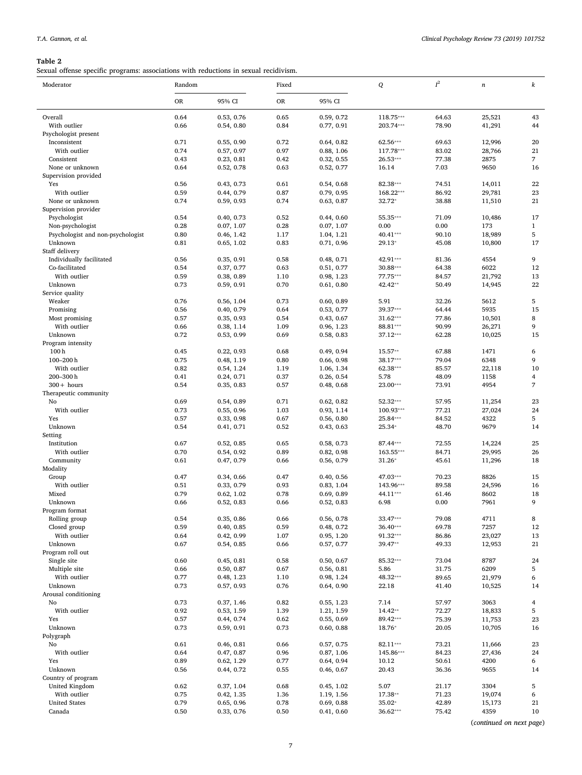<span id="page-6-0"></span>Sexual offense specific programs: associations with reductions in sexual recidivism.

| Moderator                                    | Random       |                          | Fixed        |                          | Q                       | $I^2$          | $\boldsymbol{n}$ | $\boldsymbol{k}$  |
|----------------------------------------------|--------------|--------------------------|--------------|--------------------------|-------------------------|----------------|------------------|-------------------|
|                                              | <b>OR</b>    | 95% CI                   | <b>OR</b>    | 95% CI                   |                         |                |                  |                   |
| Overall                                      | 0.64         | 0.53, 0.76               | 0.65         | 0.59, 0.72               | 118.75***               | 64.63          | 25,521           | 43                |
| With outlier                                 | 0.66         | 0.54, 0.80               | 0.84         | 0.77, 0.91               | 203.74***               | 78.90          | 41,291           | 44                |
| Psychologist present                         |              |                          |              |                          |                         |                |                  |                   |
| Inconsistent                                 | 0.71         | 0.55, 0.90               | 0.72         | 0.64, 0.82               | 62.56***                | 69.63          | 12,996           | 20                |
| With outlier<br>Consistent                   | 0.74<br>0.43 | 0.57, 0.97<br>0.23, 0.81 | 0.97<br>0.42 | 0.88, 1.06<br>0.32, 0.55 | 117.78***<br>$26.53***$ | 83.02<br>77.38 | 28,766<br>2875   | 21<br>7           |
| None or unknown                              | 0.64         | 0.52, 0.78               | 0.63         | 0.52, 0.77               | 16.14                   | 7.03           | 9650             | 16                |
| Supervision provided                         |              |                          |              |                          |                         |                |                  |                   |
| Yes                                          | 0.56         | 0.43, 0.73               | 0.61         | 0.54, 0.68               | 82.38***                | 74.51          | 14,011           | 22                |
| With outlier                                 | 0.59         | 0.44, 0.79               | 0.87         | 0.79, 0.95               | 168.22***               | 86.92          | 29,781           | 23                |
| None or unknown                              | 0.74         | 0.59, 0.93               | 0.74         | 0.63, 0.87               | 32.72*                  | 38.88          | 11,510           | 21                |
| Supervision provider                         |              |                          |              |                          |                         |                |                  |                   |
| Psychologist                                 | 0.54         | 0.40, 0.73               | 0.52         | 0.44, 0.60               | 55.35***                | 71.09          | 10,486           | 17                |
| Non-psychologist                             | 0.28         | 0.07, 1.07               | 0.28         | 0.07, 1.07               | 0.00                    | 0.00           | 173              | $\mathbf{1}$      |
| Psychologist and non-psychologist<br>Unknown | 0.80<br>0.81 | 0.46, 1.42<br>0.65, 1.02 | 1.17<br>0.83 | 1.04, 1.21<br>0.71, 0.96 | 40.41***<br>29.13*      | 90.10<br>45.08 | 18,989<br>10,800 | $\mathbf 5$<br>17 |
| Staff delivery                               |              |                          |              |                          |                         |                |                  |                   |
| Individually facilitated                     | 0.56         | 0.35, 0.91               | 0.58         | 0.48, 0.71               | 42.91***                | 81.36          | 4554             | 9                 |
| Co-facilitated                               | 0.54         | 0.37, 0.77               | 0.63         | 0.51, 0.77               | 30.88***                | 64.38          | 6022             | 12                |
| With outlier                                 | 0.59         | 0.38, 0.89               | 1.10         | 0.98, 1.23               | 77.75***                | 84.57          | 21,792           | 13                |
| Unknown                                      | 0.73         | 0.59, 0.91               | 0.70         | 0.61, 0.80               | 42.42**                 | 50.49          | 14,945           | 22                |
| Service quality                              |              |                          |              |                          |                         |                |                  |                   |
| Weaker                                       | 0.76         | 0.56, 1.04               | 0.73         | 0.60, 0.89               | 5.91                    | 32.26          | 5612             | 5                 |
| Promising                                    | 0.56         | 0.40, 0.79               | 0.64         | 0.53, 0.77               | 39.37***                | 64.44          | 5935             | 15                |
| Most promising                               | 0.57         | 0.35, 0.93               | 0.54         | 0.43, 0.67               | $31.62***$              | 77.86          | 10,501           | 8                 |
| With outlier                                 | 0.66         | 0.38, 1.14               | 1.09         | 0.96, 1.23               | 88.81***                | 90.99          | 26,271           | 9                 |
| Unknown                                      | 0.72         | 0.53, 0.99               | 0.69         | 0.58, 0.83               | 37.12***                | 62.28          | 10,025           | 15                |
| Program intensity<br>100 <sub>h</sub>        | 0.45         | 0.22, 0.93               | 0.68         | 0.49, 0.94               | 15.57**                 | 67.88          | 1471             | 6                 |
| $100 - 200$ h                                | 0.75         | 0.48, 1.19               | 0.80         | 0.66, 0.98               | 38.17***                | 79.04          | 6348             | 9                 |
| With outlier                                 | 0.82         | 0.54, 1.24               | 1.19         | 1.06, 1.34               | 62.38***                | 85.57          | 22,118           | 10                |
| 200-300h                                     | 0.41         | 0.24, 0.71               | 0.37         | 0.26, 0.54               | 5.78                    | 48.09          | 1158             | $\overline{4}$    |
| $300 + hours$                                | 0.54         | 0.35, 0.83               | 0.57         | 0.48, 0.68               | 23.00***                | 73.91          | 4954             | 7                 |
| Therapeutic community                        |              |                          |              |                          |                         |                |                  |                   |
| No                                           | 0.69         | 0.54, 0.89               | 0.71         | 0.62, 0.82               | 52.32***                | 57.95          | 11,254           | 23                |
| With outlier                                 | 0.73         | 0.55, 0.96               | 1.03         | 0.93, 1.14               | 100.93***               | 77.21          | 27,024           | 24                |
| Yes                                          | 0.57         | 0.33, 0.98               | 0.67         | 0.56, 0.80               | 25.84***                | 84.52          | 4322             | 5                 |
| Unknown                                      | 0.54         | 0.41, 0.71               | 0.52         | 0.43, 0.63               | 25.34*                  | 48.70          | 9679             | 14                |
| Setting<br>Institution                       | 0.67         | 0.52, 0.85               | 0.65         | 0.58, 0.73               | 87.44***                | 72.55          | 14,224           | 25                |
| With outlier                                 | 0.70         | 0.54, 0.92               | 0.89         | 0.82, 0.98               | 163.55***               | 84.71          | 29,995           | 26                |
| Community                                    | 0.61         | 0.47, 0.79               | 0.66         | 0.56, 0.79               | $31.26*$                | 45.61          | 11,296           | 18                |
| Modality                                     |              |                          |              |                          |                         |                |                  |                   |
| Group                                        | 0.47         | 0.34, 0.66               | 0.47         | 0.40, 0.56               | 47.03***                | 70.23          | 8826             | 15                |
| With outlier                                 | 0.51         | 0.33, 0.79               | 0.93         | 0.83, 1.04               | 143.96***               | 89.58          | 24,596           | 16                |
| Mixed                                        | 0.79         | 0.62, 1.02               | 0.78         | 0.69, 0.89               | 44.11***                | 61.46          | 8602             | 18                |
| Unknown                                      | 0.66         | 0.52, 0.83               | 0.66         | 0.52, 0.83               | 6.98                    | 0.00           | 7961             | 9                 |
| Program format                               |              |                          |              |                          |                         |                |                  |                   |
| Rolling group                                | 0.54         | 0.35, 0.86               | 0.66         | 0.56, 0.78               | 33.47***                | 79.08          | 4711             | 8                 |
| Closed group<br>With outlier                 | 0.59<br>0.64 | 0.40, 0.85<br>0.42, 0.99 | 0.59<br>1.07 | 0.48, 0.72<br>0.95, 1.20 | 36.40***<br>91.32***    | 69.78<br>86.86 | 7257<br>23,027   | 12<br>13          |
| Unknown                                      | 0.67         | 0.54, 0.85               | 0.66         | 0.57, 0.77               | 39.47**                 | 49.33          | 12,953           | 21                |
| Program roll out                             |              |                          |              |                          |                         |                |                  |                   |
| Single site                                  | 0.60         | 0.45, 0.81               | 0.58         | 0.50, 0.67               | 85.32***                | 73.04          | 8787             | 24                |
| Multiple site                                | 0.66         | 0.50, 0.87               | 0.67         | 0.56, 0.81               | 5.86                    | 31.75          | 6209             | 5                 |
| With outlier                                 | 0.77         | 0.48, 1.23               | 1.10         | 0.98, 1.24               | 48.32***                | 89.65          | 21,979           | 6                 |
| Unknown                                      | 0.73         | 0.57, 0.93               | 0.76         | 0.64, 0.90               | 22.18                   | 41.40          | 10,525           | 14                |
| Arousal conditioning                         |              |                          |              |                          |                         |                |                  |                   |
| No                                           | 0.73         | 0.37, 1.46               | 0.82         | 0.55, 1.23               | 7.14                    | 57.97          | 3063             | $\overline{4}$    |
| With outlier                                 | 0.92         | 0.53, 1.59               | 1.39         | 1.21, 1.59               | 14.42**                 | 72.27          | 18,833           | 5                 |
| Yes<br>Unknown                               | 0.57<br>0.73 | 0.44, 0.74<br>0.59, 0.91 | 0.62<br>0.73 | 0.55, 0.69<br>0.60, 0.88 | 89.42***<br>18.76*      | 75.39<br>20.05 | 11,753<br>10,705 | 23<br>16          |
| Polygraph                                    |              |                          |              |                          |                         |                |                  |                   |
| No                                           | 0.61         | 0.46, 0.81               | 0.66         | 0.57, 0.75               | 82.11***                | 73.21          | 11,666           | 23                |
| With outlier                                 | 0.64         | 0.47, 0.87               | 0.96         | 0.87, 1.06               | 145.86***               | 84.23          | 27,436           | 24                |
| Yes                                          | 0.89         | 0.62, 1.29               | 0.77         | 0.64, 0.94               | 10.12                   | 50.61          | 4200             | 6                 |
| Unknown                                      | 0.56         | 0.44, 0.72               | 0.55         | 0.46, 0.67               | 20.43                   | 36.36          | 9655             | 14                |
| Country of program                           |              |                          |              |                          |                         |                |                  |                   |
| United Kingdom                               | 0.62         | 0.37, 1.04               | 0.68         | 0.45, 1.02               | 5.07                    | 21.17          | 3304             | 5                 |
| With outlier                                 | 0.75         | 0.42, 1.35               | 1.36         | 1.19, 1.56               | 17.38**                 | 71.23          | 19,074           | 6                 |
| <b>United States</b>                         | 0.79         | 0.65, 0.96               | 0.78         | 0.69, 0.88               | 35.02*                  | 42.89          | 15,173           | 21                |
| Canada                                       | 0.50         | 0.33, 0.76               | 0.50         | 0.41, 0.60               | 36.62***                | 75.42          | 4359             | 10                |

(continued on next page)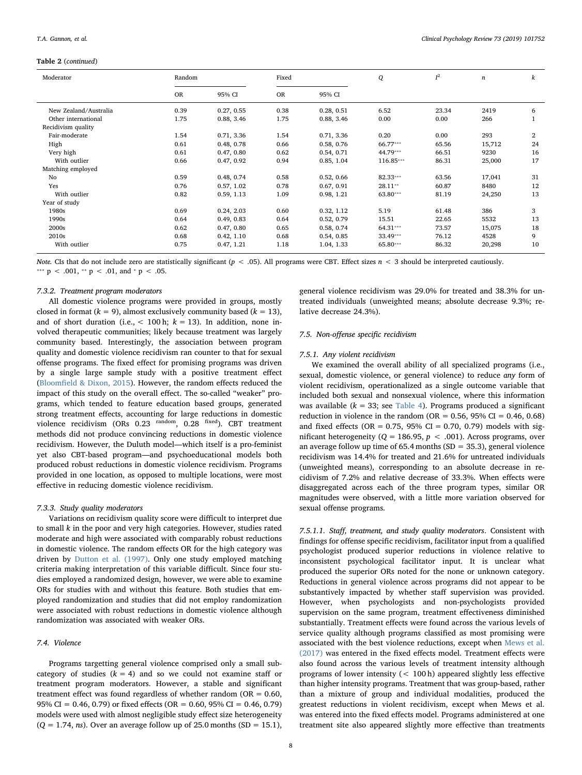#### Table 2 (continued)

| Moderator             | Random<br>Fixed |            |           | Q          | $I^2$     | $\it n$ | k      |                |
|-----------------------|-----------------|------------|-----------|------------|-----------|---------|--------|----------------|
|                       | <b>OR</b>       | 95% CI     | <b>OR</b> | 95% CI     |           |         |        |                |
| New Zealand/Australia | 0.39            | 0.27, 0.55 | 0.38      | 0.28, 0.51 | 6.52      | 23.34   | 2419   | 6              |
| Other international   | 1.75            | 0.88, 3.46 | 1.75      | 0.88, 3.46 | 0.00      | 0.00    | 266    |                |
| Recidivism quality    |                 |            |           |            |           |         |        |                |
| Fair-moderate         | 1.54            | 0.71, 3.36 | 1.54      | 0.71, 3.36 | 0.20      | 0.00    | 293    | $\overline{2}$ |
| High                  | 0.61            | 0.48, 0.78 | 0.66      | 0.58, 0.76 | 66.77***  | 65.56   | 15,712 | 24             |
| Very high             | 0.61            | 0.47, 0.80 | 0.62      | 0.54, 0.71 | 44.79***  | 66.51   | 9230   | 16             |
| With outlier          | 0.66            | 0.47, 0.92 | 0.94      | 0.85, 1.04 | 116.85*** | 86.31   | 25,000 | 17             |
| Matching employed     |                 |            |           |            |           |         |        |                |
| No                    | 0.59            | 0.48, 0.74 | 0.58      | 0.52, 0.66 | 82.33***  | 63.56   | 17,041 | 31             |
| Yes                   | 0.76            | 0.57, 1.02 | 0.78      | 0.67, 0.91 | $28.11**$ | 60.87   | 8480   | 12             |
| With outlier          | 0.82            | 0.59, 1.13 | 1.09      | 0.98, 1.21 | 63.80***  | 81.19   | 24,250 | 13             |
| Year of study         |                 |            |           |            |           |         |        |                |
| 1980s                 | 0.69            | 0.24, 2.03 | 0.60      | 0.32, 1.12 | 5.19      | 61.48   | 386    | 3              |
| 1990s                 | 0.64            | 0.49, 0.83 | 0.64      | 0.52, 0.79 | 15.51     | 22.65   | 5532   | 13             |
| 2000s                 | 0.62            | 0.47, 0.80 | 0.65      | 0.58, 0.74 | 64.31***  | 73.57   | 15,075 | 18             |
| 2010s                 | 0.68            | 0.42, 1.10 | 0.68      | 0.54, 0.85 | 33.49***  | 76.12   | 4528   | 9              |
| With outlier          | 0.75            | 0.47, 1.21 | 1.18      | 1.04, 1.33 | 65.80***  | 86.32   | 20,298 | 10             |

Note. CIs that do not include zero are statistically significant ( $p < .05$ ). All programs were CBT. Effect sizes  $n < 3$  should be interpreted cautiously. \*\*\*  $p < .001$ , \*\*  $p < .01$ , and \*  $p < .05$ .

# 7.3.2. Treatment program moderators

All domestic violence programs were provided in groups, mostly closed in format ( $k = 9$ ), almost exclusively community based ( $k = 13$ ), and of short duration (i.e.,  $< 100$  h;  $k = 13$ ). In addition, none involved therapeutic communities; likely because treatment was largely community based. Interestingly, the association between program quality and domestic violence recidivism ran counter to that for sexual offense programs. The fixed effect for promising programs was driven by a single large sample study with a positive treatment effect (Bloomfi[eld & Dixon, 2015](#page-16-29)). However, the random effects reduced the impact of this study on the overall effect. The so-called "weaker" programs, which tended to feature education based groups, generated strong treatment effects, accounting for large reductions in domestic violence recidivism (ORs 0.23 random, 0.28 fixed). CBT treatment methods did not produce convincing reductions in domestic violence recidivism. However, the Duluth model—which itself is a pro-feminist yet also CBT-based program—and psychoeducational models both produced robust reductions in domestic violence recidivism. Programs provided in one location, as opposed to multiple locations, were most effective in reducing domestic violence recidivism.

#### 7.3.3. Study quality moderators

Variations on recidivism quality score were difficult to interpret due to small  $k$  in the poor and very high categories. However, studies rated moderate and high were associated with comparably robust reductions in domestic violence. The random effects OR for the high category was driven by [Dutton et al. \(1997\)](#page-16-28). Only one study employed matching criteria making interpretation of this variable difficult. Since four studies employed a randomized design, however, we were able to examine ORs for studies with and without this feature. Both studies that employed randomization and studies that did not employ randomization were associated with robust reductions in domestic violence although randomization was associated with weaker ORs.

# 7.4. Violence

Programs targetting general violence comprised only a small subcategory of studies  $(k = 4)$  and so we could not examine staff or treatment program moderators. However, a stable and significant treatment effect was found regardless of whether random ( $OR = 0.60$ , 95% CI = 0.46, 0.79) or fixed effects (OR = 0.60, 95% CI = 0.46, 0.79) models were used with almost negligible study effect size heterogeneity  $(Q = 1.74, ns)$ . Over an average follow up of 25.0 months (SD = 15.1),

general violence recidivism was 29.0% for treated and 38.3% for untreated individuals (unweighted means; absolute decrease 9.3%; relative decrease 24.3%).

#### 7.5. Non-offense specific recidivism

#### 7.5.1. Any violent recidivism

We examined the overall ability of all specialized programs (i.e., sexual, domestic violence, or general violence) to reduce any form of violent recidivism, operationalized as a single outcome variable that included both sexual and nonsexual violence, where this information was available ( $k = 33$ ; see [Table 4](#page-9-0)). Programs produced a significant reduction in violence in the random ( $OR = 0.56$ ,  $95\%$  CI = 0.46, 0.68) and fixed effects (OR =  $0.75$ , 95% CI = 0.70, 0.79) models with significant heterogeneity ( $Q = 186.95$ ,  $p < .001$ ). Across programs, over an average follow up time of 65.4 months  $(SD = 35.3)$ , general violence recidivism was 14.4% for treated and 21.6% for untreated individuals (unweighted means), corresponding to an absolute decrease in recidivism of 7.2% and relative decrease of 33.3%. When effects were disaggregated across each of the three program types, similar OR magnitudes were observed, with a little more variation observed for sexual offense programs.

7.5.1.1. Staff, treatment, and study quality moderators. Consistent with findings for offense specific recidivism, facilitator input from a qualified psychologist produced superior reductions in violence relative to inconsistent psychological facilitator input. It is unclear what produced the superior ORs noted for the none or unknown category. Reductions in general violence across programs did not appear to be substantively impacted by whether staff supervision was provided. However, when psychologists and non-psychologists provided supervision on the same program, treatment effectiveness diminished substantially. Treatment effects were found across the various levels of service quality although programs classified as most promising were associated with the best violence reductions, except when [Mews et al.](#page-16-8) [\(2017\)](#page-16-8) was entered in the fixed effects model. Treatment effects were also found across the various levels of treatment intensity although programs of lower intensity (< 100 h) appeared slightly less effective than higher intensity programs. Treatment that was group-based, rather than a mixture of group and individual modalities, produced the greatest reductions in violent recidivism, except when Mews et al. was entered into the fixed effects model. Programs administered at one treatment site also appeared slightly more effective than treatments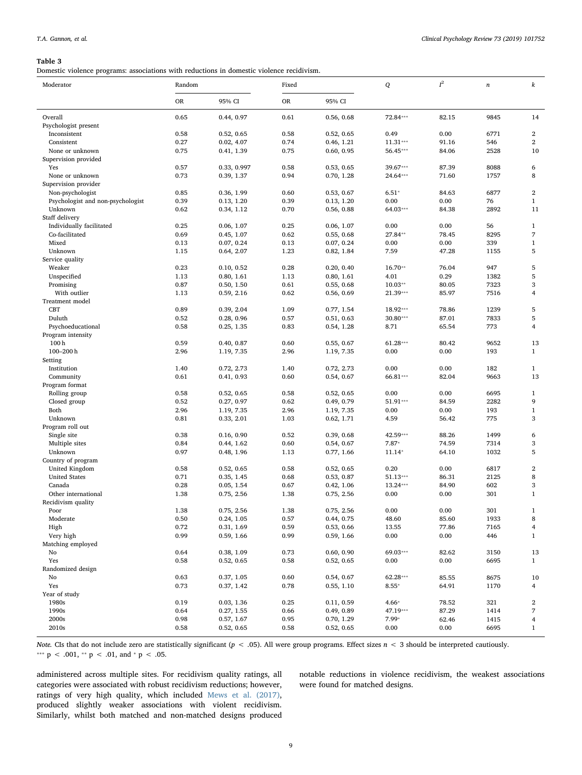<span id="page-8-0"></span>Domestic violence programs: associations with reductions in domestic violence recidivism.

| Moderator                               | Random |             | Fixed |            | Q          | $I^2$<br>$\boldsymbol{n}$ |      | $\boldsymbol{k}$        |  |
|-----------------------------------------|--------|-------------|-------|------------|------------|---------------------------|------|-------------------------|--|
|                                         | OR     | 95% CI      | OR    | 95% CI     |            |                           |      |                         |  |
| Overall                                 | 0.65   | 0.44, 0.97  | 0.61  | 0.56, 0.68 | 72.84***   | 82.15                     | 9845 | 14                      |  |
| Psychologist present                    |        |             |       |            |            |                           |      |                         |  |
| Inconsistent                            | 0.58   | 0.52, 0.65  | 0.58  | 0.52, 0.65 | 0.49       | 0.00                      | 6771 | $\overline{\mathbf{2}}$ |  |
| Consistent                              | 0.27   | 0.02, 4.07  | 0.74  | 0.46, 1.21 | $11.31***$ | 91.16                     | 546  | $\overline{2}$          |  |
| None or unknown                         | 0.75   | 0.41, 1.39  | 0.75  | 0.60, 0.95 | 56.45***   | 84.06                     | 2528 | 10                      |  |
| Supervision provided                    |        |             |       |            |            |                           |      |                         |  |
| Yes                                     | 0.57   | 0.33, 0.997 | 0.58  | 0.53, 0.65 | 39.67***   | 87.39                     | 8088 | 6                       |  |
| None or unknown<br>Supervision provider | 0.73   | 0.39, 1.37  | 0.94  | 0.70, 1.28 | 24.64***   | 71.60                     | 1757 | 8                       |  |
| Non-psychologist                        | 0.85   | 0.36, 1.99  | 0.60  | 0.53, 0.67 | $6.51*$    | 84.63                     | 6877 | $\mathbf{2}$            |  |
| Psychologist and non-psychologist       | 0.39   | 0.13, 1.20  | 0.39  | 0.13, 1.20 | 0.00       | 0.00                      | 76   | $\mathbf{1}$            |  |
| Unknown                                 | 0.62   | 0.34, 1.12  | 0.70  | 0.56, 0.88 | 64.03***   | 84.38                     | 2892 | 11                      |  |
| Staff delivery                          |        |             |       |            |            |                           |      |                         |  |
| Individually facilitated                | 0.25   | 0.06, 1.07  | 0.25  | 0.06, 1.07 | 0.00       | 0.00                      | 56   | $\mathbf{1}$            |  |
| Co-facilitated                          | 0.69   | 0.45, 1.07  | 0.62  | 0.55, 0.68 | 27.84**    | 78.45                     | 8295 | $\overline{7}$          |  |
| Mixed                                   | 0.13   | 0.07, 0.24  | 0.13  | 0.07, 0.24 | 0.00       | 0.00                      | 339  | $\mathbf{1}$            |  |
| Unknown                                 | 1.15   | 0.64, 2.07  | 1.23  | 0.82, 1.84 | 7.59       | 47.28                     | 1155 | 5                       |  |
| Service quality                         |        |             |       |            |            |                           |      |                         |  |
| Weaker                                  | 0.23   | 0.10, 0.52  | 0.28  | 0.20, 0.40 | 16.70**    | 76.04                     | 947  | 5                       |  |
| Unspecified                             | 1.13   | 0.80, 1.61  | 1.13  | 0.80, 1.61 | 4.01       | 0.29                      | 1382 | 5                       |  |
| Promising                               | 0.87   | 0.50, 1.50  | 0.61  | 0.55, 0.68 | $10.03**$  | 80.05                     | 7323 | 3                       |  |
| With outlier                            | 1.13   | 0.59, 2.16  | 0.62  | 0.56, 0.69 | 21.39***   | 85.97                     | 7516 | 4                       |  |
| Treatment model                         |        |             |       |            |            |                           |      |                         |  |
| <b>CBT</b>                              | 0.89   | 0.39, 2.04  | 1.09  | 0.77, 1.54 | 18.92***   | 78.86                     | 1239 | 5                       |  |
| Duluth                                  | 0.52   | 0.28, 0.96  | 0.57  | 0.51, 0.63 | 30.80***   | 87.01                     | 7833 | 5<br>4                  |  |
| Psychoeducational<br>Program intensity  | 0.58   | 0.25, 1.35  | 0.83  | 0.54, 1.28 | 8.71       | 65.54                     | 773  |                         |  |
| 100 <sub>h</sub>                        | 0.59   | 0.40, 0.87  | 0.60  | 0.55, 0.67 | 61.28***   | 80.42                     | 9652 | 13                      |  |
| $100 - 200$ h                           | 2.96   | 1.19, 7.35  | 2.96  | 1.19, 7.35 | 0.00       | 0.00                      | 193  | $\mathbf{1}$            |  |
| Setting                                 |        |             |       |            |            |                           |      |                         |  |
| Institution                             | 1.40   | 0.72, 2.73  | 1.40  | 0.72, 2.73 | 0.00       | 0.00                      | 182  | $\mathbf{1}$            |  |
| Community                               | 0.61   | 0.41, 0.93  | 0.60  | 0.54, 0.67 | 66.81***   | 82.04                     | 9663 | 13                      |  |
| Program format                          |        |             |       |            |            |                           |      |                         |  |
| Rolling group                           | 0.58   | 0.52, 0.65  | 0.58  | 0.52, 0.65 | 0.00       | 0.00                      | 6695 | $\mathbf{1}$            |  |
| Closed group                            | 0.52   | 0.27, 0.97  | 0.62  | 0.49, 0.79 | 51.91***   | 84.59                     | 2282 | 9                       |  |
| Both                                    | 2.96   | 1.19, 7.35  | 2.96  | 1.19, 7.35 | 0.00       | 0.00                      | 193  | $\mathbf{1}$            |  |
| Unknown                                 | 0.81   | 0.33, 2.01  | 1.03  | 0.62, 1.71 | 4.59       | 56.42                     | 775  | 3                       |  |
| Program roll out                        |        |             |       |            |            |                           |      |                         |  |
| Single site                             | 0.38   | 0.16, 0.90  | 0.52  | 0.39, 0.68 | 42.59***   | 88.26                     | 1499 | 6                       |  |
| Multiple sites                          | 0.84   | 0.44, 1.62  | 0.60  | 0.54, 0.67 | $7.87*$    | 74.59                     | 7314 | 3                       |  |
| Unknown                                 | 0.97   | 0.48, 1.96  | 1.13  | 0.77, 1.66 | 11.14*     | 64.10                     | 1032 | 5                       |  |
| Country of program<br>United Kingdom    | 0.58   | 0.52, 0.65  | 0.58  | 0.52, 0.65 | 0.20       | 0.00                      | 6817 | $\overline{2}$          |  |
| <b>United States</b>                    | 0.71   | 0.35, 1.45  | 0.68  | 0.53, 0.87 | $51.13***$ | 86.31                     | 2125 | 8                       |  |
| Canada                                  | 0.28   | 0.05, 1.54  | 0.67  | 0.42, 1.06 | 13.24***   | 84.90                     | 602  | 3                       |  |
| Other international                     | 1.38   | 0.75, 2.56  | 1.38  | 0.75, 2.56 | 0.00       | 0.00                      | 301  | $\mathbf{1}$            |  |
| Recidivism quality                      |        |             |       |            |            |                           |      |                         |  |
| Poor                                    | 1.38   | 0.75, 2.56  | 1.38  | 0.75, 2.56 | 0.00       | 0.00                      | 301  | $\mathbf{1}$            |  |
| Moderate                                | 0.50   | 0.24, 1.05  | 0.57  | 0.44, 0.75 | 48.60      | 85.60                     | 1933 | $\bf8$                  |  |
| High                                    | 0.72   | 0.31, 1.69  | 0.59  | 0.53, 0.66 | 13.55      | 77.86                     | 7165 | $\overline{4}$          |  |
| Very high                               | 0.99   | 0.59, 1.66  | 0.99  | 0.59, 1.66 | 0.00       | 0.00                      | 446  | $\mathbf{1}$            |  |
| Matching employed                       |        |             |       |            |            |                           |      |                         |  |
| No                                      | 0.64   | 0.38, 1.09  | 0.73  | 0.60, 0.90 | 69.03***   | 82.62                     | 3150 | 13                      |  |
| Yes                                     | 0.58   | 0.52, 0.65  | 0.58  | 0.52, 0.65 | 0.00       | 0.00                      | 6695 | $\mathbf{1}$            |  |
| Randomized design                       |        |             |       |            |            |                           |      |                         |  |
| No                                      | 0.63   | 0.37, 1.05  | 0.60  | 0.54, 0.67 | 62.28***   | 85.55                     | 8675 | 10                      |  |
| Yes                                     | 0.73   | 0.37, 1.42  | 0.78  | 0.55, 1.10 | $8.55*$    | 64.91                     | 1170 | $\overline{4}$          |  |
| Year of study<br>1980s                  | 0.19   | 0.03, 1.36  | 0.25  | 0.11, 0.59 | $4.66*$    |                           | 321  | $\,2$                   |  |
| 1990s                                   | 0.64   | 0.27, 1.55  | 0.66  | 0.49, 0.89 | 47.19***   | 78.52<br>87.29            | 1414 | $\boldsymbol{7}$        |  |
| 2000s                                   | 0.98   | 0.57, 1.67  | 0.95  | 0.70, 1.29 | 7.99*      | 62.46                     | 1415 | $\overline{4}$          |  |
| 2010s                                   | 0.58   | 0.52, 0.65  | 0.58  | 0.52, 0.65 | 0.00       | 0.00                      | 6695 | $\mathbf{1}$            |  |
|                                         |        |             |       |            |            |                           |      |                         |  |

Note. CIs that do not include zero are statistically significant ( $p < .05$ ). All were group programs. Effect sizes  $n < 3$  should be interpreted cautiously. \*\*\*  $p < .001$ , \*\*  $p < .01$ , and \*  $p < .05$ .

administered across multiple sites. For recidivism quality ratings, all categories were associated with robust recidivism reductions; however, ratings of very high quality, which included [Mews et al. \(2017\)](#page-16-8), produced slightly weaker associations with violent recidivism. Similarly, whilst both matched and non-matched designs produced notable reductions in violence recidivism, the weakest associations were found for matched designs.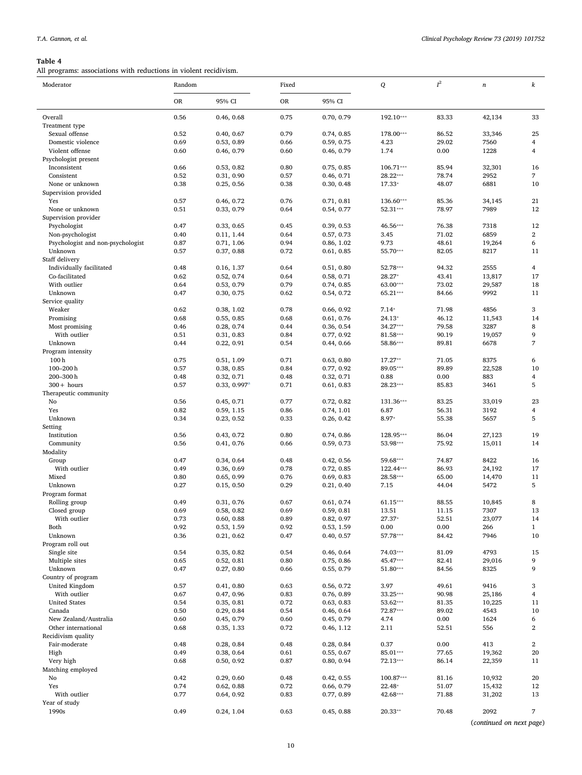<span id="page-9-0"></span>All programs: associations with reductions in violent recidivism.

| Moderator                             | Random       |                          | Fixed     |                          | Q         | $I^2$          | $\boldsymbol{n}$         | k                    |
|---------------------------------------|--------------|--------------------------|-----------|--------------------------|-----------|----------------|--------------------------|----------------------|
|                                       | <b>OR</b>    | 95% CI                   | <b>OR</b> | 95% CI                   |           |                |                          |                      |
| Overall                               | 0.56         | 0.46, 0.68               | 0.75      | 0.70, 0.79               | 192.10*** | 83.33          | 42,134                   | 33                   |
| Treatment type<br>Sexual offense      | 0.52         |                          | 0.79      |                          | 178.00*** | 86.52          |                          |                      |
| Domestic violence                     | 0.69         | 0.40, 0.67<br>0.53, 0.89 | 0.66      | 0.74, 0.85<br>0.59, 0.75 | 4.23      | 29.02          | 33,346<br>7560           | 25<br>$\overline{4}$ |
| Violent offense                       | 0.60         | 0.46, 0.79               | 0.60      | 0.46, 0.79               | 1.74      | 0.00           | 1228                     | 4                    |
| Psychologist present                  |              |                          |           |                          |           |                |                          |                      |
| Inconsistent                          | 0.66         | 0.53, 0.82               | 0.80      | 0.75, 0.85               | 106.71*** | 85.94          | 32,301                   | 16                   |
| Consistent                            | 0.52         | 0.31, 0.90               | 0.57      | 0.46, 0.71               | 28.22***  | 78.74          | 2952                     | 7                    |
| None or unknown                       | 0.38         | 0.25, 0.56               | 0.38      | 0.30, 0.48               | 17.33*    | 48.07          | 6881                     | 10                   |
| Supervision provided                  |              |                          |           |                          |           |                |                          |                      |
| Yes                                   | 0.57         | 0.46, 0.72               | 0.76      | 0.71, 0.81               | 136.60*** | 85.36          | 34,145                   | 21                   |
| None or unknown                       | 0.51         | 0.33, 0.79               | 0.64      | 0.54, 0.77               | 52.31***  | 78.97          | 7989                     | 12                   |
| Supervision provider                  |              |                          |           |                          |           |                |                          |                      |
| Psychologist                          | 0.47         | 0.33, 0.65               | 0.45      | 0.39, 0.53               | 46.56***  | 76.38          | 7318                     | 12                   |
| Non-psychologist                      | 0.40         | 0.11, 1.44               | 0.64      | 0.57, 0.73               | 3.45      | 71.02          | 6859                     | $\overline{2}$       |
| Psychologist and non-psychologist     | 0.87         | 0.71, 1.06               | 0.94      | 0.86, 1.02               | 9.73      | 48.61          | 19,264                   | 6                    |
| Unknown                               | 0.57         | 0.37, 0.88               | 0.72      | 0.61, 0.85               | 55.70***  | 82.05          | 8217                     | 11                   |
| Staff delivery                        |              |                          |           |                          |           |                |                          |                      |
| Individually facilitated              | 0.48         | 0.16, 1.37               | 0.64      | 0.51, 0.80               | 52.78***  | 94.32          | 2555                     | $\overline{4}$       |
| Co-facilitated                        | 0.62         | 0.52, 0.74               | 0.64      | 0.58, 0.71               | 28.27*    | 43.41          | 13,817                   | 17                   |
| With outlier                          | 0.64         | 0.53, 0.79               | 0.79      | 0.74, 0.85               | 63.00***  | 73.02          | 29,587                   | 18                   |
| Unknown                               | 0.47         | 0.30, 0.75               | 0.62      | 0.54, 0.72               | 65.21***  | 84.66          | 9992                     | 11                   |
| Service quality                       |              |                          |           |                          |           |                |                          |                      |
| Weaker                                | 0.62         | 0.38, 1.02               | 0.78      | 0.66, 0.92               | $7.14*$   | 71.98          | 4856                     | 3                    |
| Promising                             | 0.68         | 0.55, 0.85               | 0.68      | 0.61, 0.76               | $24.13*$  | 46.12          | 11,543                   | 14                   |
| Most promising<br>With outlier        | 0.46         | 0.28, 0.74               | 0.44      | 0.36, 0.54               | 34.27***  | 79.58          | 3287                     | 8<br>9               |
|                                       | 0.51         | 0.31, 0.83               | 0.84      | 0.77, 0.92               | 81.58***  | 90.19<br>89.81 | 19,057<br>6678           | $\overline{7}$       |
| Unknown                               | 0.44         | 0.22, 0.91               | 0.54      | 0.44, 0.66               | 58.86***  |                |                          |                      |
| Program intensity<br>100 <sub>h</sub> | 0.75         | 0.51, 1.09               | 0.71      | 0.63, 0.80               | $17.27**$ | 71.05          | 8375                     | 6                    |
| 100-200h                              | 0.57         | 0.38, 0.85               | 0.84      | 0.77, 0.92               | 89.05***  | 89.89          | 22,528                   | 10                   |
| 200-300h                              | 0.48         | 0.32, 0.71               | 0.48      | 0.32, 0.71               | 0.88      | 0.00           | 883                      | 4                    |
| $300 + hours$                         | 0.57         | $0.33, 0.997^a$          | 0.71      | 0.61, 0.83               | 28.23***  | 85.83          | 3461                     | 5                    |
| Therapeutic community                 |              |                          |           |                          |           |                |                          |                      |
| No                                    | 0.56         | 0.45, 0.71               | 0.77      | 0.72, 0.82               | 131.36*** | 83.25          | 33,019                   | 23                   |
| Yes                                   | 0.82         | 0.59, 1.15               | 0.86      | 0.74, 1.01               | 6.87      | 56.31          | 3192                     | 4                    |
| Unknown                               | 0.34         | 0.23, 0.52               | 0.33      | 0.26, 0.42               | 8.97*     | 55.38          | 5657                     | 5                    |
| Setting                               |              |                          |           |                          |           |                |                          |                      |
| Institution                           | 0.56         | 0.43, 0.72               | 0.80      | 0.74, 0.86               | 128.95*** | 86.04          | 27,123                   | 19                   |
| Community                             | 0.56         | 0.41, 0.76               | 0.66      | 0.59, 0.73               | 53.98***  | 75.92          | 15,011                   | 14                   |
| Modality                              |              |                          |           |                          |           |                |                          |                      |
| Group                                 | 0.47         | 0.34, 0.64               | 0.48      | 0.42, 0.56               | 59.68***  | 74.87          | 8422                     | 16                   |
| With outlier                          | 0.49         | 0.36, 0.69               | 0.78      | 0.72, 0.85               | 122.44*** | 86.93          | 24,192                   | 17                   |
| Mixed                                 | 0.80         | 0.65, 0.99               | 0.76      | 0.69, 0.83               | 28.58***  | 65.00          | 14,470                   | 11                   |
| Unknown                               | 0.27         | 0.15, 0.50               | 0.29      | 0.21, 0.40               | 7.15      | 44.04          | 5472                     | 5                    |
| Program format                        |              |                          |           |                          |           |                |                          |                      |
| Rolling group                         | 0.49         | 0.31, 0.76               | 0.67      | 0.61, 0.74               | 61.15***  | 88.55          | 10,845                   | 8                    |
| Closed group                          | 0.69         | 0.58, 0.82               | 0.69      | 0.59, 0.81               | 13.51     | 11.15          | 7307                     | 13                   |
| With outlier                          | 0.73         | 0.60, 0.88               | 0.89      | 0.82, 0.97               | $27.37*$  | 52.51          | 23,077                   | 14                   |
| Both                                  | 0.92         | 0.53, 1.59               | 0.92      | 0.53, 1.59               | 0.00      | $0.00\,$       | 266                      | $\mathbf{1}$         |
| Unknown                               | 0.36         | 0.21, 0.62               | 0.47      | 0.40, 0.57               | 57.78***  | 84.42          | 7946                     | 10                   |
| Program roll out                      |              |                          | 0.54      |                          | 74.03***  |                | 4793                     |                      |
| Single site<br>Multiple sites         | 0.54<br>0.65 | 0.35, 0.82<br>0.52, 0.81 | 0.80      | 0.46, 0.64<br>0.75, 0.86 | 45.47***  | 81.09<br>82.41 | 29,016                   | 15<br>9              |
| Unknown                               | 0.47         | 0.27, 0.80               | 0.66      | 0.55, 0.79               | 51.80***  | 84.56          | 8325                     | 9                    |
| Country of program                    |              |                          |           |                          |           |                |                          |                      |
| United Kingdom                        | 0.57         | 0.41, 0.80               | 0.63      | 0.56, 0.72               | 3.97      | 49.61          | 9416                     | 3                    |
| With outlier                          | 0.67         | 0.47, 0.96               | 0.83      | 0.76, 0.89               | 33.25***  | 90.98          | 25,186                   | $\overline{4}$       |
| <b>United States</b>                  | 0.54         | 0.35, 0.81               | 0.72      | 0.63, 0.83               | 53.62***  | 81.35          | 10,225                   | 11                   |
| Canada                                | 0.50         | 0.29, 0.84               | 0.54      | 0.46, 0.64               | 72.87***  | 89.02          | 4543                     | 10                   |
| New Zealand/Australia                 | 0.60         | 0.45, 0.79               | 0.60      | 0.45, 0.79               | 4.74      | 0.00           | 1624                     | 6                    |
| Other international                   | 0.68         | 0.35, 1.33               | 0.72      | 0.46, 1.12               | 2.11      | 52.51          | 556                      | 2                    |
| Recidivism quality                    |              |                          |           |                          |           |                |                          |                      |
| Fair-moderate                         | 0.48         | 0.28, 0.84               | 0.48      | 0.28, 0.84               | 0.37      | 0.00           | 413                      | $\overline{2}$       |
| High                                  | 0.49         | 0.38, 0.64               | 0.61      | 0.55, 0.67               | 85.01***  | 77.65          | 19,362                   | 20                   |
| Very high                             | 0.68         | 0.50, 0.92               | 0.87      | 0.80, 0.94               | 72.13***  | 86.14          | 22,359                   | 11                   |
| Matching employed                     |              |                          |           |                          |           |                |                          |                      |
| No                                    | 0.42         | 0.29, 0.60               | 0.48      | 0.42, 0.55               | 100.87*** | 81.16          | 10,932                   | 20                   |
| Yes                                   | 0.74         | 0.62, 0.88               | 0.72      | 0.66, 0.79               | 22.48*    | 51.07          | 15,432                   | 12                   |
| With outlier                          | 0.77         | 0.64, 0.92               | 0.83      | 0.77, 0.89               | 42.68***  | 71.88          | 31,202                   | 13                   |
| Year of study                         |              |                          |           |                          |           |                |                          |                      |
| 1990s                                 | 0.49         | 0.24, 1.04               | 0.63      | 0.45, 0.88               | $20.33**$ | 70.48          | 2092                     | 7                    |
|                                       |              |                          |           |                          |           |                | (continued on next page) |                      |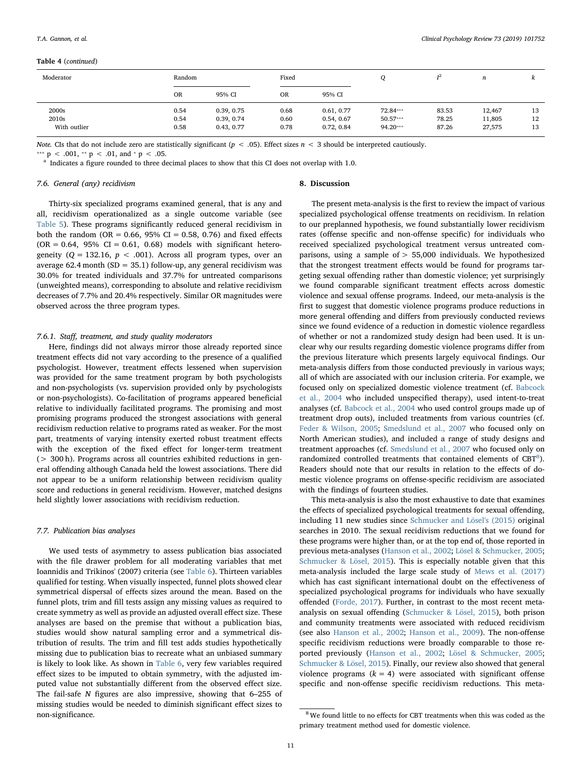#### Table 4 (continued)

| Moderator    | Random    |            | Fixed     |            |            | T <sup>2</sup> | n      | Λ. |
|--------------|-----------|------------|-----------|------------|------------|----------------|--------|----|
|              | <b>OR</b> | 95% CI     | <b>OR</b> | 95% CI     |            |                |        |    |
| 2000s        | 0.54      | 0.39, 0.75 | 0.68      | 0.61, 0.77 | 72.84***   | 83.53          | 12,467 | 13 |
| 2010s        | 0.54      | 0.39, 0.74 | 0.60      | 0.54, 0.67 | $50.57***$ | 78.25          | 11,805 | 12 |
| With outlier | 0.58      | 0.43, 0.77 | 0.78      | 0.72, 0.84 | 94.20***   | 87.26          | 27,575 | 13 |

Note. CIs that do not include zero are statistically significant ( $p < .05$ ). Effect sizes  $n < 3$  should be interpreted cautiously.

<sup>\*\*\*</sup> p < .001, <sup>\*\*</sup> p < .01, and <sup>\*</sup> p < .05.

<span id="page-10-0"></span><sup>a</sup> Indicates a figure rounded to three decimal places to show that this CI does not overlap with 1.0.

## 7.6. General (any) recidivism

Thirty-six specialized programs examined general, that is any and all, recidivism operationalized as a single outcome variable (see [Table 5](#page-11-0)). These programs significantly reduced general recidivism in both the random (OR =  $0.66$ ,  $95\%$  CI =  $0.58$ ,  $0.76$ ) and fixed effects  $(OR = 0.64, 95\% \text{ CI} = 0.61, 0.68) \text{ models with significant hetero-}$ geneity ( $Q = 132.16$ ,  $p < .001$ ). Across all program types, over an average 62.4 month (SD = 35.1) follow-up, any general recidivism was 30.0% for treated individuals and 37.7% for untreated comparisons (unweighted means), corresponding to absolute and relative recidivism decreases of 7.7% and 20.4% respectively. Similar OR magnitudes were observed across the three program types.

# 7.6.1. Staff, treatment, and study quality moderators

Here, findings did not always mirror those already reported since treatment effects did not vary according to the presence of a qualified psychologist. However, treatment effects lessened when supervision was provided for the same treatment program by both psychologists and non-psychologists (vs. supervision provided only by psychologists or non-psychologists). Co-facilitation of programs appeared beneficial relative to individually facilitated programs. The promising and most promising programs produced the strongest associations with general recidivism reduction relative to programs rated as weaker. For the most part, treatments of varying intensity exerted robust treatment effects with the exception of the fixed effect for longer-term treatment (> 300 h). Programs across all countries exhibited reductions in general offending although Canada held the lowest associations. There did not appear to be a uniform relationship between recidivism quality score and reductions in general recidivism. However, matched designs held slightly lower associations with recidivism reduction.

#### 7.7. Publication bias analyses

We used tests of asymmetry to assess publication bias associated with the file drawer problem for all moderating variables that met Ioannidis and Trikinos' (2007) criteria (see [Table 6](#page-12-0)). Thirteen variables qualified for testing. When visually inspected, funnel plots showed clear symmetrical dispersal of effects sizes around the mean. Based on the funnel plots, trim and fill tests assign any missing values as required to create symmetry as well as provide an adjusted overall effect size. These analyses are based on the premise that without a publication bias, studies would show natural sampling error and a symmetrical distribution of results. The trim and fill test adds studies hypothetically missing due to publication bias to recreate what an unbiased summary is likely to look like. As shown in [Table 6](#page-12-0), very few variables required effect sizes to be imputed to obtain symmetry, with the adjusted imputed value not substantially different from the observed effect size. The fail-safe N figures are also impressive, showing that 6–255 of missing studies would be needed to diminish significant effect sizes to non-significance.

#### 8. Discussion

The present meta-analysis is the first to review the impact of various specialized psychological offense treatments on recidivism. In relation to our preplanned hypothesis, we found substantially lower recidivism rates (offense specific and non-offense specific) for individuals who received specialized psychological treatment versus untreated comparisons, using a sample of  $> 55,000$  individuals. We hypothesized that the strongest treatment effects would be found for programs targeting sexual offending rather than domestic violence; yet surprisingly we found comparable significant treatment effects across domestic violence and sexual offense programs. Indeed, our meta-analysis is the first to suggest that domestic violence programs produce reductions in more general offending and differs from previously conducted reviews since we found evidence of a reduction in domestic violence regardless of whether or not a randomized study design had been used. It is unclear why our results regarding domestic violence programs differ from the previous literature which presents largely equivocal findings. Our meta-analysis differs from those conducted previously in various ways; all of which are associated with our inclusion criteria. For example, we focused only on specialized domestic violence treatment (cf. [Babcock](#page-16-10) [et al., 2004](#page-16-10) who included unspecified therapy), used intent-to-treat analyses (cf. [Babcock et al., 2004](#page-16-10) who used control groups made up of treatment drop outs), included treatments from various countries (cf. [Feder & Wilson, 2005;](#page-16-13) [Smedslund et al., 2007](#page-17-3) who focused only on North American studies), and included a range of study designs and treatment approaches (cf. [Smedslund et al., 2007](#page-17-3) who focused only on randomized controlled treatments that contained elements of  $CBT^8$  $CBT^8$ ). Readers should note that our results in relation to the effects of domestic violence programs on offense-specific recidivism are associated with the findings of fourteen studies.

This meta-analysis is also the most exhaustive to date that examines the effects of specialized psychological treatments for sexual offending, including 11 new studies since [Schmucker and Lösel's \(2015\)](#page-17-1) original searches in 2010. The sexual recidivism reductions that we found for these programs were higher than, or at the top end of, those reported in previous meta-analyses ([Hanson et al., 2002](#page-16-6); [Lösel & Schmucker, 2005](#page-16-7); [Schmucker & Lösel, 2015\)](#page-17-1). This is especially notable given that this meta-analysis included the large scale study of [Mews et al. \(2017\)](#page-16-8) which has cast significant international doubt on the effectiveness of specialized psychological programs for individuals who have sexually offended ([Forde, 2017\)](#page-16-9). Further, in contrast to the most recent metaanalysis on sexual offending [\(Schmucker & Lösel, 2015\)](#page-17-1), both prison and community treatments were associated with reduced recidivism (see also [Hanson et al., 2002;](#page-16-6) [Hanson et al., 2009](#page-16-16)). The non-offense specific recidivism reductions were broadly comparable to those reported previously [\(Hanson et al., 2002](#page-16-6); [Lösel & Schmucker, 2005](#page-16-7); [Schmucker & Lösel, 2015](#page-17-1)). Finally, our review also showed that general violence programs  $(k = 4)$  were associated with significant offense specific and non-offense specific recidivism reductions. This meta-

<span id="page-10-1"></span><sup>8</sup> We found little to no effects for CBT treatments when this was coded as the primary treatment method used for domestic violence.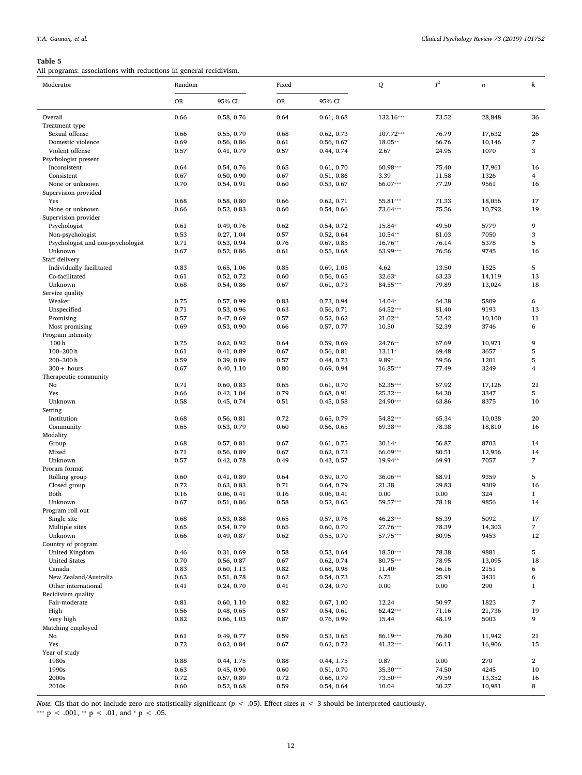<span id="page-11-0"></span>All programs: associations with reductions in general recidivism.

| Moderator                                    | Random       |                          | Fixed        |                          | Q                   | $I^2$          | $\it n$        | k                       |
|----------------------------------------------|--------------|--------------------------|--------------|--------------------------|---------------------|----------------|----------------|-------------------------|
|                                              | <b>OR</b>    | 95% CI                   | OR           | 95% CI                   |                     |                |                |                         |
| Overall                                      | 0.66         | 0.58, 0.76               | 0.64         | 0.61, 0.68               | 132.16***           | 73.52          | 28,848         | 36                      |
| Treatment type                               |              |                          |              |                          |                     |                |                |                         |
| Sexual offense                               | 0.66         | 0.55, 0.79               | 0.68         | 0.62, 0.73               | 107.72***           | 76.79          | 17,632         | 26                      |
| Domestic violence                            | 0.69         | 0.56, 0.86               | 0.61         | 0.56, 0.67               | 18.05**             | 66.76          | 10,146         | 7                       |
| Violent offense                              | 0.57         | 0.41, 0.79               | 0.57         | 0.44, 0.74               | 2.67                | 24.95          | 1070           | 3                       |
| Psychologist present                         |              |                          |              |                          |                     |                |                |                         |
| Inconsistent                                 | 0.64         | 0.54, 0.76               | 0.65         | 0.61, 0.70               | 60.98***            | 75.40          | 17,961         | 16                      |
| Consistent<br>None or unknown                | 0.67<br>0.70 | 0.50, 0.90<br>0.54, 0.91 | 0.67<br>0.60 | 0.51, 0.86<br>0.53, 0.67 | 3.39<br>66.07***    | 11.58<br>77.29 | 1326<br>9561   | $\overline{4}$<br>16    |
| Supervision provided                         |              |                          |              |                          |                     |                |                |                         |
| Yes                                          | 0.68         | 0.58, 0.80               | 0.66         | 0.62, 0.71               | 55.81***            | 71.33          | 18,056         | 17                      |
| None or unknown                              | 0.66         | 0.52, 0.83               | 0.60         | 0.54, 0.66               | 73.64***            | 75.56          | 10,792         | 19                      |
| Supervision provider                         |              |                          |              |                          |                     |                |                |                         |
| Psychologist                                 | 0.61         | 0.49, 0.76               | 0.62         | 0.54, 0.72               | 15.84*              | 49.50          | 5779           | 9                       |
| Non-psychologist                             | 0.53         | 0.27, 1.04               | 0.57         | 0.52, 0.64               | $10.54**$           | 81.03          | 7050           | 3                       |
| Psychologist and non-psychologist            | 0.71         | 0.53, 0.94               | 0.76         | 0.67, 0.85               | 16.76**             | 76.14          | 5378           | 5                       |
| Unknown                                      | 0.67         | 0.52, 0.86               | 0.61         | 0.55, 0.68               | 63.99***            | 76.56          | 9745           | 16                      |
| Staff delivery                               |              |                          |              |                          |                     |                |                |                         |
| Individually facilitated                     | 0.83         | 0.65, 1.06               | 0.85         | 0.69, 1.05               | 4.62                | 13.50          | 1525           | 5                       |
| Co-facilitated                               | 0.61         | 0.52, 0.72               | 0.60         | 0.56, 0.65               | $32.63*$            | 63.23          | 14,119         | 13                      |
| Unknown                                      | 0.68         | 0.54, 0.86               | 0.67         | 0.61, 0.73               | 84.55***            | 79.89          | 13,024         | 18                      |
| Service quality                              |              |                          |              |                          |                     |                |                |                         |
| Weaker                                       | 0.75         | 0.57, 0.99               | 0.83         | 0.73, 0.94               | 14.04*              | 64.38          | 5809           | 6                       |
| Unspecified                                  | 0.71         | 0.53, 0.96               | 0.63         | 0.56, 0.71               | 64.52***            | 81.40          | 9193           | 13                      |
| Promising<br>Most promising                  | 0.57<br>0.69 | 0.47, 0.69<br>0.53, 0.90 | 0.57<br>0.66 | 0.52, 0.62<br>0.57, 0.77 | 21.02**<br>10.50    | 52.42<br>52.39 | 10,100<br>3746 | 11<br>6                 |
| Program intensity                            |              |                          |              |                          |                     |                |                |                         |
| 100 <sub>h</sub>                             | 0.75         | 0.62, 0.92               | 0.64         | 0.59, 0.69               | 24.76**             | 67.69          | 10,971         | 9                       |
| $100 - 200$ h                                | 0.61         | 0.41, 0.89               | 0.67         | 0.56, 0.81               | 13.11*              | 69.48          | 3657           | 5                       |
| 200-300h                                     | 0.59         | 0.39, 0.89               | 0.57         | 0.44, 0.73               | 9.89*               | 59.56          | 1201           | 5                       |
| $300 + hours$                                | 0.67         | 0.40, 1.10               | 0.80         | 0.69, 0.94               | 16.85***            | 77.49          | 3249           | 4                       |
| Therapeutic community                        |              |                          |              |                          |                     |                |                |                         |
| No                                           | 0.71         | 0.60, 0.83               | 0.65         | 0.61, 0.70               | 62.35***            | 67.92          | 17,126         | 21                      |
| Yes                                          | 0.66         | 0.42, 1.04               | 0.79         | 0.68, 0.91               | 25.32***            | 84.20          | 3347           | 5                       |
| Unknown                                      | 0.58         | 0.45, 0.74               | 0.51         | 0.45, 0.58               | 24.90***            | 63.86          | 8375           | 10                      |
| Setting                                      |              |                          |              |                          |                     |                |                |                         |
| Institution                                  | 0.68         | 0.56, 0.81               | 0.72         | 0.65, 0.79               | 54.82***            | 65.34          | 10,038         | 20                      |
| Community                                    | 0.65         | 0.53, 0.79               | 0.60         | 0.56, 0.65               | 69.38***            | 78.38          | 18,810         | 16                      |
| Modality                                     |              |                          |              |                          |                     |                |                |                         |
| Group                                        | 0.68         | 0.57, 0.81               | 0.67         | 0.61, 0.75               | $30.14*$            | 56.87          | 8703           | 14                      |
| Mixed                                        | 0.71         | 0.56, 0.89               | 0.67         | 0.62, 0.73               | 66.69***<br>19.94** | 80.51          | 12,956         | 14<br>7                 |
| Unknown<br>Proram format                     | 0.57         | 0.42, 0.78               | 0.49         | 0.43, 0.57               |                     | 69.91          | 7057           |                         |
| Rolling group                                | 0.60         | 0.41, 0.89               | 0.64         | 0.59, 0.70               | 36.06***            | 88.91          | 9359           | 5                       |
| Closed group                                 | 0.72         | 0.63, 0.83               | 0.71         | 0.64, 0.79               | 21.38               | 29.83          | 9309           | 16                      |
| Both                                         | 0.16         | 0.06, 0.41               | 0.16         | 0.06, 0.41               | 0.00                | 0.00           | 324            | $\mathbf{1}$            |
| Unknown                                      | 0.67         | 0.51, 0.86               | 0.58         | 0.52, 0.65               | 59.57***            | 78.18          | 9856           | 14                      |
| Program roll out                             |              |                          |              |                          |                     |                |                |                         |
| Single site                                  | 0.68         | 0.53, 0.88               | 0.65         | 0.57, 0.76               | 46.23***            | 65.39          | 5092           | 17                      |
| Multiple sites                               | 0.65         | 0.54, 0.79               | 0.65         | 0.60, 0.70               | 27.76***            | 78.39          | 14,303         | $\overline{7}$          |
| Unknown                                      | 0.66         | 0.49, 0.87               | 0.62         | 0.55, 0.70               | 57.75***            | 80.95          | 9453           | 12                      |
| Country of program                           |              |                          |              |                          |                     |                |                |                         |
| United Kingdom                               | 0.46         | 0.31, 0.69               | 0.58         | 0.53, 0.64               | 18.50***            | 78.38          | 9881           | 5                       |
| <b>United States</b>                         | 0.70         | 0.56, 0.87               | 0.67         | 0.62, 0.74               | 80.75***            | 78.95          | 13,095         | 18                      |
| Canada                                       | 0.83         | 0.60, 1.13               | 0.82         | 0.68, 0.98               | $11.40*$            | 56.16          | 2151           | 6                       |
| New Zealand/Australia<br>Other international | 0.63<br>0.41 | 0.51, 0.78               | 0.62         | 0.54, 0.73               | 6.75<br>0.00        | 25.91<br>0.00  | 3431<br>290    | 6<br>$\mathbf{1}$       |
| Recidivism quality                           |              | 0.24, 0.70               | 0.41         | 0.24, 0.70               |                     |                |                |                         |
| Fair-moderate                                | 0.81         | 0.60, 1.10               | 0.82         | 0.67, 1.00               | 12.24               | 50.97          | 1823           | 7                       |
| High                                         | 0.56         | 0.48, 0.65               | 0.57         | 0.54, 0.61               | 62.42***            | 71.16          | 21,736         | 19                      |
| Very high                                    | 0.82         | 0.66, 1.03               | 0.87         | 0.76, 0.99               | 15.44               | 48.19          | 5003           | 9                       |
| Matching employed                            |              |                          |              |                          |                     |                |                |                         |
| No                                           | 0.61         | 0.49, 0.77               | 0.59         | 0.53, 0.65               | 86.19***            | 76.80          | 11,942         | 21                      |
| Yes                                          | 0.72         | 0.62, 0.84               | 0.67         | 0.62, 0.72               | 41.32***            | 66.11          | 16,906         | 15                      |
| Year of study                                |              |                          |              |                          |                     |                |                |                         |
| 1980s                                        | 0.88         | 0.44, 1.75               | 0.88         | 0.44, 1.75               | 0.87                | 0.00           | 270            | $\overline{\mathbf{c}}$ |
| 1990s                                        | 0.63         | 0.45, 0.90               | 0.60         | 0.51, 0.70               | 35.30***            | 74.50          | 4245           | 10                      |
| 2000s                                        | 0.72         | 0.57, 0.89               | 0.72         | 0.66, 0.79               | 73.50***            | 79.59          | 13,352         | 16                      |
| 2010s                                        | 0.60         | 0.52, 0.68               | 0.59         | 0.54, 0.64               | 10.04               | 30.27          | 10,981         | 8                       |

Note. CIs that do not include zero are statistically significant ( $p < .05$ ). Effect sizes  $n < 3$  should be interpreted cautiously.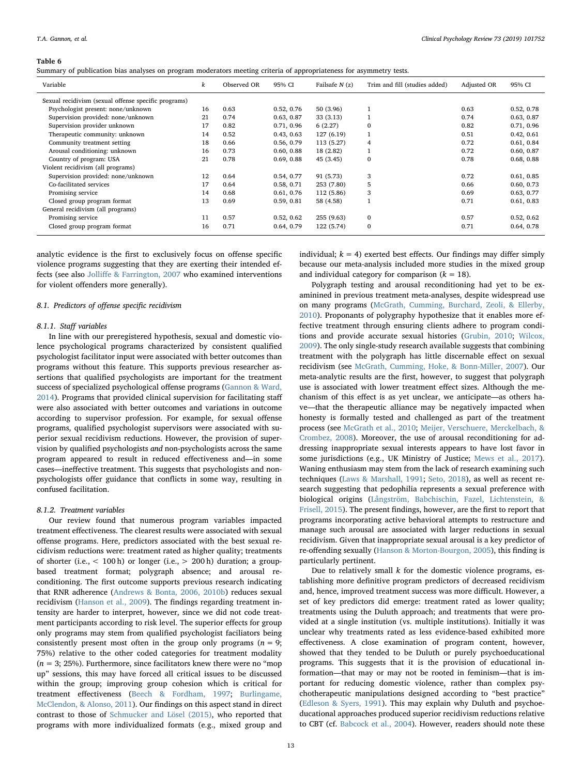<span id="page-12-0"></span>Summary of publication bias analyses on program moderators meeting criteria of appropriateness for asymmetry tests.

| Variable                                             | k  | Observed OR | 95% CI     | Failsafe $N(z)$ | Trim and fill (studies added) | Adjusted OR | 95% CI     |
|------------------------------------------------------|----|-------------|------------|-----------------|-------------------------------|-------------|------------|
| Sexual recidivism (sexual offense specific programs) |    |             |            |                 |                               |             |            |
| Psychologist present: none/unknown                   | 16 | 0.63        | 0.52, 0.76 | 50 (3.96)       |                               | 0.63        | 0.52, 0.78 |
| Supervision provided: none/unknown                   | 21 | 0.74        | 0.63, 0.87 | 33 (3.13)       |                               | 0.74        | 0.63, 0.87 |
| Supervision provider unknown                         | 17 | 0.82        | 0.71, 0.96 | 6(2.27)         | $\Omega$                      | 0.82        | 0.71, 0.96 |
| Therapeutic community: unknown                       | 14 | 0.52        | 0.43, 0.63 | 127(6.19)       |                               | 0.51        | 0.42, 0.61 |
| Community treatment setting                          | 18 | 0.66        | 0.56, 0.79 | 113 (5.27)      | 4                             | 0.72        | 0.61, 0.84 |
| Arousal conditioning: unknown                        | 16 | 0.73        | 0.60, 0.88 | 18 (2.82)       |                               | 0.72        | 0.60, 0.87 |
| Country of program: USA                              | 21 | 0.78        | 0.69, 0.88 | 45 (3.45)       | $\Omega$                      | 0.78        | 0.68, 0.88 |
| Violent recidivism (all programs)                    |    |             |            |                 |                               |             |            |
| Supervision provided: none/unknown                   | 12 | 0.64        | 0.54, 0.77 | 91 (5.73)       | 3                             | 0.72        | 0.61, 0.85 |
| Co-facilitated services                              | 17 | 0.64        | 0.58, 0.71 | 253 (7.80)      | 5                             | 0.66        | 0.60, 0.73 |
| Promising service                                    | 14 | 0.68        | 0.61, 0.76 | 112 (5.86)      | 3                             | 0.69        | 0.63, 0.77 |
| Closed group program format                          | 13 | 0.69        | 0.59, 0.81 | 58 (4.58)       |                               | 0.71        | 0.61, 0.83 |
| General recidivism (all programs)                    |    |             |            |                 |                               |             |            |
| Promising service                                    | 11 | 0.57        | 0.52, 0.62 | 255 (9.63)      | $\Omega$                      | 0.57        | 0.52, 0.62 |
| Closed group program format                          | 16 | 0.71        | 0.64, 0.79 | 122 (5.74)      | $\Omega$                      | 0.71        | 0.64, 0.78 |

analytic evidence is the first to exclusively focus on offense specific violence programs suggesting that they are exerting their intended effects (see also Jolliff[e & Farrington, 2007](#page-16-2) who examined interventions for violent offenders more generally).

# 8.1. Predictors of offense specific recidivism

## 8.1.1. Staff variables

In line with our preregistered hypothesis, sexual and domestic violence psychological programs characterized by consistent qualified psychologist facilitator input were associated with better outcomes than programs without this feature. This supports previous researcher assertions that qualified psychologists are important for the treatment success of specialized psychological offense programs [\(Gannon & Ward,](#page-16-19) [2014\)](#page-16-19). Programs that provided clinical supervision for facilitating staff were also associated with better outcomes and variations in outcome according to supervisor profession. For example, for sexual offense programs, qualified psychologist supervisors were associated with superior sexual recidivism reductions. However, the provision of supervision by qualified psychologists and non-psychologists across the same program appeared to result in reduced effectiveness and—in some cases—ineffective treatment. This suggests that psychologists and nonpsychologists offer guidance that conflicts in some way, resulting in confused facilitation.

### 8.1.2. Treatment variables

Our review found that numerous program variables impacted treatment effectiveness. The clearest results were associated with sexual offense programs. Here, predictors associated with the best sexual recidivism reductions were: treatment rated as higher quality; treatments of shorter (i.e., < 100 h) or longer (i.e., > 200 h) duration; a groupbased treatment format; polygraph absence; and arousal reconditioning. The first outcome supports previous research indicating that RNR adherence [\(Andrews & Bonta, 2006, 2010b](#page-16-21)) reduces sexual recidivism ([Hanson et al., 2009](#page-16-16)). The findings regarding treatment intensity are harder to interpret, however, since we did not code treatment participants according to risk level. The superior effects for group only programs may stem from qualified psychologist faciliators being consistently present most often in the group only programs  $(n = 9)$ ; 75%) relative to the other coded categories for treatment modality  $(n = 3; 25%)$ . Furthermore, since facilitators knew there were no "mop" up" sessions, this may have forced all critical issues to be discussed within the group; improving group cohesion which is critical for treatment effectiveness ([Beech & Fordham, 1997;](#page-16-30) [Burlingame,](#page-16-31) [McClendon, & Alonso, 2011\)](#page-16-31). Our findings on this aspect stand in direct contrast to those of [Schmucker and Lösel \(2015\),](#page-17-1) who reported that programs with more individualized formats (e.g., mixed group and

individual;  $k = 4$ ) exerted best effects. Our findings may differ simply because our meta-analysis included more studies in the mixed group and individual category for comparison  $(k = 18)$ .

Polygraph testing and arousal reconditioning had yet to be examinined in previous treatment meta-analyses, despite widespread use on many programs [\(McGrath, Cumming, Burchard, Zeoli, & Ellerby,](#page-16-32) [2010\)](#page-16-32). Proponants of polygraphy hypothesize that it enables more effective treatment through ensuring clients adhere to program conditions and provide accurate sexual histories [\(Grubin, 2010](#page-16-33); [Wilcox,](#page-17-10) [2009\)](#page-17-10). The only single-study research available suggests that combining treatment with the polygraph has little discernable effect on sexual recidivism (see [McGrath, Cumming, Hoke, & Bonn-Miller, 2007\)](#page-16-34). Our meta-analytic results are the first, however, to suggest that polygraph use is associated with lower treatment effect sizes. Although the mechanism of this effect is as yet unclear, we anticipate—as others have—that the therapeutic alliance may be negatively impacted when honesty is formally tested and challenged as part of the treatment process (see [McGrath et al., 2010;](#page-16-32) [Meijer, Verschuere, Merckelbach, &](#page-16-35) [Crombez, 2008](#page-16-35)). Moreover, the use of arousal reconditioning for addressing inappropriate sexual interests appears to have lost favor in some jurisdictions (e.g., UK Ministry of Justice; [Mews et al., 2017](#page-16-8)). Waning enthusiasm may stem from the lack of research examining such techniques [\(Laws & Marshall, 1991](#page-16-36); [Seto, 2018\)](#page-17-11), as well as recent research suggesting that pedophilia represents a sexual preference with biological origins ([Långström, Babchischin, Fazel, Lichtenstein, &](#page-16-37) [Frisell, 2015\)](#page-16-37). The present findings, however, are the first to report that programs incorporating active behavioral attempts to restructure and manage such arousal are associated with larger reductions in sexual recidivism. Given that inappropriate sexual arousal is a key predictor of re-offending sexually ([Hanson & Morton-Bourgon, 2005\)](#page-16-38), this finding is particularly pertinent.

Due to relatively small  $k$  for the domestic violence programs, establishing more definitive program predictors of decreased recidivism and, hence, improved treatment success was more difficult. However, a set of key predictors did emerge: treatment rated as lower quality; treatments using the Duluth approach; and treatments that were provided at a single institution (vs. multiple institutions). Initially it was unclear why treatments rated as less evidence-based exhibited more effectiveness. A close examination of program content, however, showed that they tended to be Duluth or purely psychoeducational programs. This suggests that it is the provision of educational information—that may or may not be rooted in feminism—that is important for reducing domestic violence, rather than complex psychotherapeutic manipulations designed according to "best practice" ([Edleson & Syers, 1991\)](#page-16-39). This may explain why Duluth and psychoeducational approaches produced superior recidivism reductions relative to CBT (cf. [Babcock et al., 2004](#page-16-10)). However, readers should note these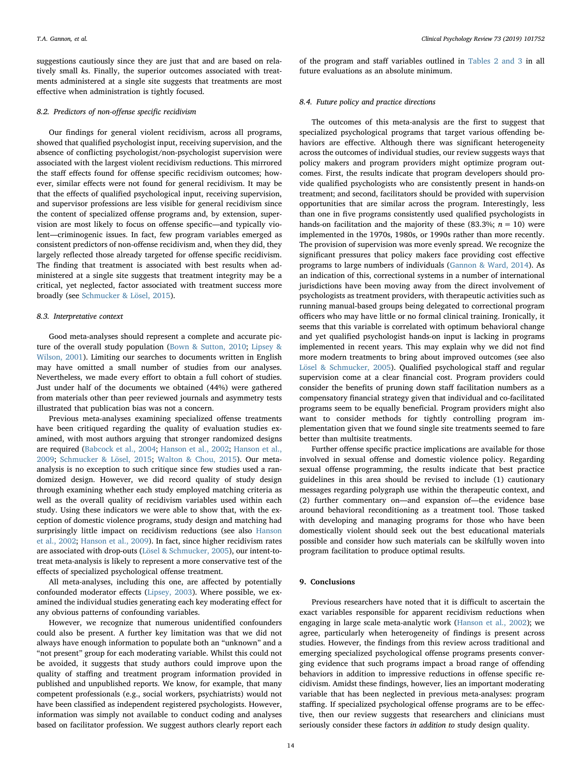suggestions cautiously since they are just that and are based on relatively small ks. Finally, the superior outcomes associated with treatments administered at a single site suggests that treatments are most effective when administration is tightly focused.

#### 8.2. Predictors of non-offense specific recidivism

Our findings for general violent recidivism, across all programs, showed that qualified psychologist input, receiving supervision, and the absence of conflicting psychologist/non-psychologist supervision were associated with the largest violent recidivism reductions. This mirrored the staff effects found for offense specific recidivism outcomes; however, similar effects were not found for general recidivism. It may be that the effects of qualified psychological input, receiving supervision, and supervisor professions are less visible for general recidivism since the content of specialized offense programs and, by extension, supervision are most likely to focus on offense specific—and typically violent—criminogenic issues. In fact, few program variables emerged as consistent predictors of non-offense recidivism and, when they did, they largely reflected those already targeted for offense specific recidivism. The finding that treatment is associated with best results when administered at a single site suggests that treatment integrity may be a critical, yet neglected, factor associated with treatment success more broadly (see [Schmucker & Lösel, 2015](#page-17-1)).

#### 8.3. Interpretative context

Good meta-analyses should represent a complete and accurate picture of the overall study population ([Bown & Sutton, 2010](#page-16-40); [Lipsey &](#page-16-41) [Wilson, 2001\)](#page-16-41). Limiting our searches to documents written in English may have omitted a small number of studies from our analyses. Nevertheless, we made every effort to obtain a full cohort of studies. Just under half of the documents we obtained (44%) were gathered from materials other than peer reviewed journals and asymmetry tests illustrated that publication bias was not a concern.

Previous meta-analyses examining specialized offense treatments have been critiqued regarding the quality of evaluation studies examined, with most authors arguing that stronger randomized designs are required ([Babcock et al., 2004;](#page-16-10) [Hanson et al., 2002](#page-16-6); [Hanson et al.,](#page-16-16) [2009;](#page-16-16) [Schmucker & Lösel, 2015](#page-17-1); Walton [& Chou, 2015](#page-17-6)). Our metaanalysis is no exception to such critique since few studies used a randomized design. However, we did record quality of study design through examining whether each study employed matching criteria as well as the overall quality of recidivism variables used within each study. Using these indicators we were able to show that, with the exception of domestic violence programs, study design and matching had surprisingly little impact on recidivism reductions (see also [Hanson](#page-16-6) [et al., 2002](#page-16-6); [Hanson et al., 2009](#page-16-16)). In fact, since higher recidivism rates are associated with drop-outs ([Lösel & Schmucker, 2005](#page-16-7)), our intent-totreat meta-analysis is likely to represent a more conservative test of the effects of specialized psychological offense treatment.

All meta-analyses, including this one, are affected by potentially confounded moderator effects ([Lipsey, 2003\)](#page-16-42). Where possible, we examined the individual studies generating each key moderating effect for any obvious patterns of confounding variables.

However, we recognize that numerous unidentified confounders could also be present. A further key limitation was that we did not always have enough information to populate both an "unknown" and a "not present" group for each moderating variable. Whilst this could not be avoided, it suggests that study authors could improve upon the quality of staffing and treatment program information provided in published and unpublished reports. We know, for example, that many competent professionals (e.g., social workers, psychiatrists) would not have been classified as independent registered psychologists. However, information was simply not available to conduct coding and analyses based on facilitator profession. We suggest authors clearly report each

of the program and staff variables outlined in [Tables 2 and 3](#page-6-0) in all future evaluations as an absolute minimum.

#### 8.4. Future policy and practice directions

The outcomes of this meta-analysis are the first to suggest that specialized psychological programs that target various offending behaviors are effective. Although there was significant heterogeneity across the outcomes of individual studies, our review suggests ways that policy makers and program providers might optimize program outcomes. First, the results indicate that program developers should provide qualified psychologists who are consistently present in hands-on treatment; and second, facilitators should be provided with supervision opportunities that are similar across the program. Interestingly, less than one in five programs consistently used qualified psychologists in hands-on facilitation and the majority of these (83.3%;  $n = 10$ ) were implemented in the 1970s, 1980s, or 1990s rather than more recently. The provision of supervision was more evenly spread. We recognize the significant pressures that policy makers face providing cost effective programs to large numbers of individuals ([Gannon & Ward, 2014](#page-16-19)). As an indication of this, correctional systems in a number of international jurisdictions have been moving away from the direct involvement of psychologists as treatment providers, with therapeutic activities such as running manual-based groups being delegated to correctional program officers who may have little or no formal clinical training. Ironically, it seems that this variable is correlated with optimum behavioral change and yet qualified psychologist hands-on input is lacking in programs implemented in recent years. This may explain why we did not find more modern treatments to bring about improved outcomes (see also [Lösel & Schmucker, 2005](#page-16-7)). Qualified psychological staff and regular supervision come at a clear financial cost. Program providers could consider the benefits of pruning down staff facilitation numbers as a compensatory financial strategy given that individual and co-facilitated programs seem to be equally beneficial. Program providers might also want to consider methods for tightly controlling program implementation given that we found single site treatments seemed to fare better than multisite treatments.

Further offense specific practice implications are available for those involved in sexual offense and domestic violence policy. Regarding sexual offense programming, the results indicate that best practice guidelines in this area should be revised to include (1) cautionary messages regarding polygraph use within the therapeutic context, and (2) further commentary on—and expansion of—the evidence base around behavioral reconditioning as a treatment tool. Those tasked with developing and managing programs for those who have been domestically violent should seek out the best educational materials possible and consider how such materials can be skilfully woven into program facilitation to produce optimal results.

## 9. Conclusions

Previous researchers have noted that it is difficult to ascertain the exact variables responsible for apparent recidivism reductions when engaging in large scale meta-analytic work ([Hanson et al., 2002](#page-16-6)); we agree, particularly when heterogeneity of findings is present across studies. However, the findings from this review across traditional and emerging specialized psychological offense programs presents converging evidence that such programs impact a broad range of offending behaviors in addition to impressive reductions in offense specific recidivism. Amidst these findings, however, lies an important moderating variable that has been neglected in previous meta-analyses: program staffing. If specialized psychological offense programs are to be effective, then our review suggests that researchers and clinicians must seriously consider these factors in addition to study design quality.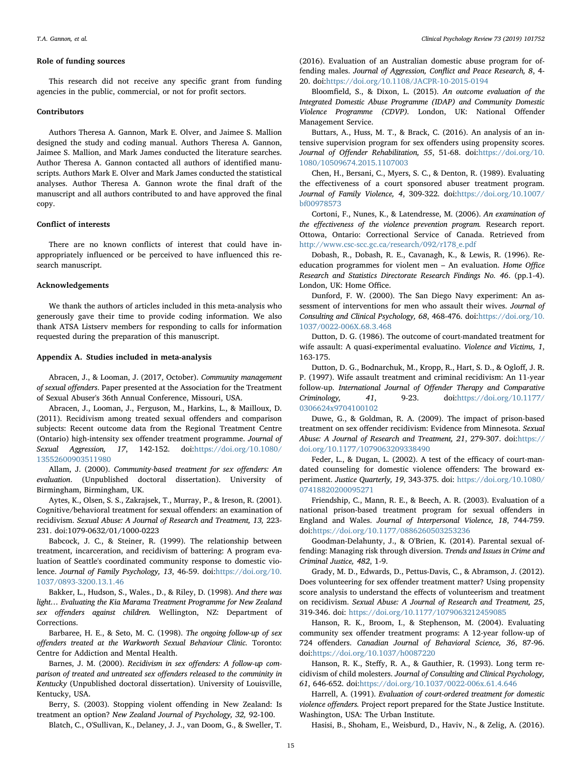#### Role of funding sources

This research did not receive any specific grant from funding agencies in the public, commercial, or not for profit sectors.

#### Contributors

Authors Theresa A. Gannon, Mark E. Olver, and Jaimee S. Mallion designed the study and coding manual. Authors Theresa A. Gannon, Jaimee S. Mallion, and Mark James conducted the literature searches. Author Theresa A. Gannon contacted all authors of identified manuscripts. Authors Mark E. Olver and Mark James conducted the statistical analyses. Author Theresa A. Gannon wrote the final draft of the manuscript and all authors contributed to and have approved the final copy.

# Conflict of interests

There are no known conflicts of interest that could have inappropriately influenced or be perceived to have influenced this research manuscript.

## Acknowledgements

We thank the authors of articles included in this meta-analysis who generously gave their time to provide coding information. We also thank ATSA Listserv members for responding to calls for information requested during the preparation of this manuscript.

# Appendix A. Studies included in meta-analysis

Abracen, J., & Looman, J. (2017, October). Community management of sexual offenders. Paper presented at the Association for the Treatment of Sexual Abuser's 36th Annual Conference, Missouri, USA.

Abracen, J., Looman, J., Ferguson, M., Harkins, L., & Mailloux, D. (2011). Recidivism among treated sexual offenders and comparison subjects: Recent outcome data from the Regional Treatment Centre (Ontario) high-intensity sex offender treatment programme. Journal of Sexual Aggression, 17, 142-152. doi:[https://doi.org/10.1080/](https://doi.org/10.1080/13552600903511980) [13552600903511980](https://doi.org/10.1080/13552600903511980)

Allam, J. (2000). Community-based treatment for sex offenders: An evaluation. (Unpublished doctoral dissertation). University of Birmingham, Birmingham, UK.

Aytes, K., Olsen, S. S., Zakrajsek, T., Murray, P., & Ireson, R. (2001). Cognitive/behavioral treatment for sexual offenders: an examination of recidivism. Sexual Abuse: A Journal of Research and Treatment, 13, 223- 231. doi:1079-0632/01/1000-0223

Babcock, J. C., & Steiner, R. (1999). The relationship between treatment, incarceration, and recidivism of battering: A program evaluation of Seattle's coordinated community response to domestic violence. Journal of Family Psychology, 13, 46-59. doi:[https://doi.org/10.](https://doi.org/10.1037/0893-3200.13.1.46) [1037/0893-3200.13.1.46](https://doi.org/10.1037/0893-3200.13.1.46)

Bakker, L., Hudson, S., Wales., D., & Riley, D. (1998). And there was light… Evaluating the Kia Marama Treatment Programme for New Zealand sex offenders against children. Wellington, NZ: Department of Corrections.

Barbaree, H. E., & Seto, M. C. (1998). The ongoing follow-up of sex offenders treated at the Warkworth Sexual Behaviour Clinic. Toronto: Centre for Addiction and Mental Health.

Barnes, J. M. (2000). Recidivism in sex offenders: A follow-up comparison of treated and untreated sex offenders released to the comminity in Kentucky (Unpublished doctoral dissertation). University of Louisville, Kentucky, USA.

Berry, S. (2003). Stopping violent offending in New Zealand: Is treatment an option? New Zealand Journal of Psychology, 32, 92-100.

Blatch, C., O'Sullivan, K., Delaney, J. J., van Doom, G., & Sweller, T.

(2016). Evaluation of an Australian domestic abuse program for offending males. Journal of Aggression, Conflict and Peace Research, 8, 4- 20. doi:<https://doi.org/10.1108/JACPR-10-2015-0194>

Bloomfield, S., & Dixon, L. (2015). An outcome evaluation of the Integrated Domestic Abuse Programme (IDAP) and Community Domestic Violence Programme (CDVP). London, UK: National Offender Management Service.

Buttars, A., Huss, M. T., & Brack, C. (2016). An analysis of an intensive supervision program for sex offenders using propensity scores. Journal of Offender Rehabilitation, 55, 51-68. doi:[https://doi.org/10.](https://doi.org/10.1080/10509674.2015.1107003) [1080/10509674.2015.1107003](https://doi.org/10.1080/10509674.2015.1107003)

Chen, H., Bersani, C., Myers, S. C., & Denton, R. (1989). Evaluating the effectiveness of a court sponsored abuser treatment program. Journal of Family Violence, 4, 309-322. doi:[https://doi.org/10.1007/](https://doi.org/10.1007/bf00978573) [bf00978573](https://doi.org/10.1007/bf00978573)

Cortoni, F., Nunes, K., & Latendresse, M. (2006). An examination of the effectiveness of the violence prevention program. Research report. Ottowa, Ontario: Correctional Service of Canada. Retrieved from [http://www.csc-scc.gc.ca/research/092/r178\\_e.pdf](http://www.csc-scc.gc.ca/research/092/r178_e.pdf)

Dobash, R., Dobash, R. E., Cavanagh, K., & Lewis, R. (1996). Reeducation programmes for violent men – An evaluation. Home Office Research and Statistics Directorate Research Findings No. 46. (pp.1-4). London, UK: Home Office.

Dunford, F. W. (2000). The San Diego Navy experiment: An assessment of interventions for men who assault their wives. Journal of Consulting and Clinical Psychology, 68, 468-476. doi:[https://doi.org/10.](https://doi.org/10.1037/0022-006X.68.3.468) [1037/0022-006X.68.3.468](https://doi.org/10.1037/0022-006X.68.3.468)

Dutton, D. G. (1986). The outcome of court-mandated treatment for wife assault: A quasi-experimental evaluatino. Violence and Victims, 1, 163-175.

Dutton, D. G., Bodnarchuk, M., Kropp, R., Hart, S. D., & Ogloff, J. R. P. (1997). Wife assault treatment and criminal recidivism: An 11-year follow-up. International Journal of Offender Therapy and Comparative Criminology, 41, 9-23. doi:[https://doi.org/10.1177/](https://doi.org/10.1177/0306624x9704100102) [0306624x9704100102](https://doi.org/10.1177/0306624x9704100102)

Duwe, G., & Goldman, R. A. (2009). The impact of prison-based treatment on sex offender recidivism: Evidence from Minnesota. Sexual Abuse: A Journal of Research and Treatment, 21, 279-307. doi:[https://](https://doi.org/10.1177/1079063209338490) [doi.org/10.1177/1079063209338490](https://doi.org/10.1177/1079063209338490)

Feder, L., & Dugan, L. (2002). A test of the efficacy of court-mandated counseling for domestic violence offenders: The broward experiment. Justice Quarterly, 19, 343-375. doi: [https://doi.org/10.1080/](https://doi.org/10.1080/07418820200095271) [07418820200095271](https://doi.org/10.1080/07418820200095271)

Friendship, C., Mann, R. E., & Beech, A. R. (2003). Evaluation of a national prison-based treatment program for sexual offenders in England and Wales. Journal of Interpersonal Violence, 18, 744-759. doi[:https://doi.org/10.1177/0886260503253236](https://doi.org/10.1177/0886260503253236)

Goodman-Delahunty, J., & O'Brien, K. (2014). Parental sexual offending: Managing risk through diversion. Trends and Issues in Crime and Criminal Justice, 482, 1-9.

Grady, M. D., Edwards, D., Pettus-Davis, C., & Abramson, J. (2012). Does volunteering for sex offender treatment matter? Using propensity score analysis to understand the effects of volunteerism and treatment on recidivism. Sexual Abuse: A Journal of Research and Treatment, 25, 319-346. doi: <https://doi.org/10.1177/1079063212459085>

Hanson, R. K., Broom, I., & Stephenson, M. (2004). Evaluating community sex offender treatment programs: A 12-year follow-up of 724 offenders. Canadian Journal of Behavioral Science, 36, 87-96. doi[:https://doi.org/10.1037/h0087220](https://doi.org/10.1037/h0087220)

Hanson, R. K., Steffy, R. A., & Gauthier, R. (1993). Long term recidivism of child molesters. Journal of Consulting and Clinical Psychology, 61, 646-652. doi[:https://doi.org/10.1037/0022-006x.61.4.646](https://doi.org/10.1037/0022-006x.61.4.646)

Harrell, A. (1991). Evaluation of court-ordered treatment for domestic violence offenders. Project report prepared for the State Justice Institute. Washington, USA: The Urban Institute.

Hasisi, B., Shoham, E., Weisburd, D., Haviv, N., & Zelig, A. (2016).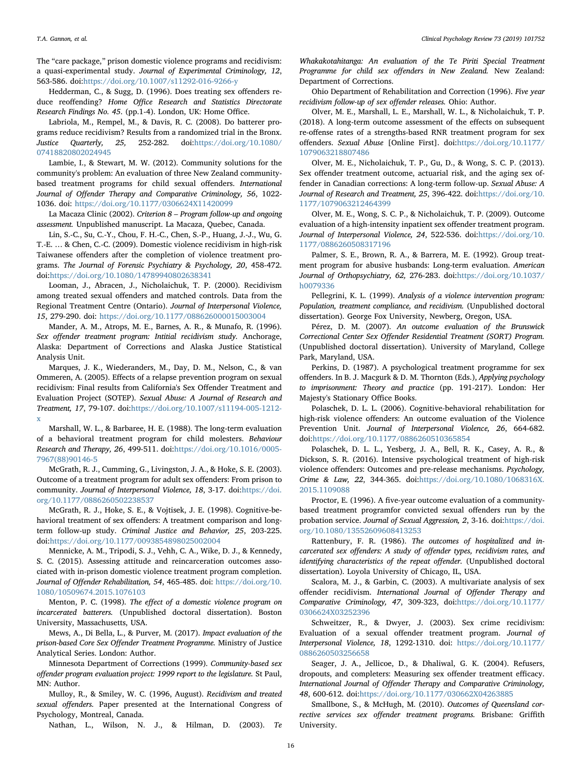The "care package," prison domestic violence programs and recidivism: a quasi-experimental study. Journal of Experimental Criminology, 12, 563-586. doi[:https://doi.org/10.1007/s11292-016-9266-y](https://doi.org/10.1007/s11292-016-9266-y)

Hedderman, C., & Sugg, D. (1996). Does treating sex offenders reduce reoffending? Home Office Research and Statistics Directorate Research Findings No. 45. (pp.1-4). London, UK: Home Office.

Labriola, M., Rempel, M., & Davis, R. C. (2008). Do batterer programs reduce recidivism? Results from a randomized trial in the Bronx. Justice Quarterly, 25, 252-282. doi:[https://doi.org/10.1080/](https://doi.org/10.1080/07418820802024945) [07418820802024945](https://doi.org/10.1080/07418820802024945)

Lambie, I., & Stewart, M. W. (2012). Community solutions for the community's problem: An evaluation of three New Zealand communitybased treatment programs for child sexual offenders. International Journal of Offender Therapy and Comparative Criminology, 56, 1022- 1036. doi: <https://doi.org/10.1177/0306624X11420099>

La Macaza Clinic (2002). Criterion 8 – Program follow-up and ongoing assessment. Unpublished manuscript. La Macaza, Quebec, Canada.

Lin, S.-C., Su, C.-Y., Chou, F. H.-C., Chen, S.-P., Huang, J.-J., Wu, G. T.-E. … & Chen, C.-C. (2009). Domestic violence recidivism in high-risk Taiwanese offenders after the completion of violence treatment programs. The Journal of Forensic Psychiatry & Psychology, 20, 458-472. doi[:https://doi.org/10.1080/14789940802638341](https://doi.org/10.1080/14789940802638341)

Looman, J., Abracen, J., Nicholaichuk, T. P. (2000). Recidivism among treated sexual offenders and matched controls. Data from the Regional Treatment Centre (Ontario). Journal of Interpersonal Violence, 15, 279-290. doi: <https://doi.org/10.1177/088626000015003004>

Mander, A. M., Atrops, M. E., Barnes, A. R., & Munafo, R. (1996). Sex offender treatment program: Intitial recidivism study. Anchorage, Alaska: Department of Corrections and Alaska Justice Statistical Analysis Unit.

Marques, J. K., Wiederanders, M., Day, D. M., Nelson, C., & van Ommeren, A. (2005). Effects of a relapse prevention program on sexual recidivism: Final results from California's Sex Offender Treatment and Evaluation Project (SOTEP). Sexual Abuse: A Journal of Research and Treatment, 17, 79-107. doi[:https://doi.org/10.1007/s11194-005-1212](https://doi.org/10.1007/s11194-005-1212-x) [x](https://doi.org/10.1007/s11194-005-1212-x)

Marshall, W. L., & Barbaree, H. E. (1988). The long-term evaluation of a behavioral treatment program for child molesters. Behaviour Research and Therapy, 26, 499-511. doi[:https://doi.org/10.1016/0005-](https://doi.org/10.1016/0005-7967(88)90146-5) [7967\(88\)90146-5](https://doi.org/10.1016/0005-7967(88)90146-5)

McGrath, R. J., Cumming, G., Livingston, J. A., & Hoke, S. E. (2003). Outcome of a treatment program for adult sex offenders: From prison to community. Journal of Interpersonal Violence, 18, 3-17. doi:[https://doi.](https://doi.org/10.1177/0886260502238537) [org/10.1177/0886260502238537](https://doi.org/10.1177/0886260502238537)

McGrath, R. J., Hoke, S. E., & Vojtisek, J. E. (1998). Cognitive-behavioral treatment of sex offenders: A treatment comparison and longterm follow-up study. Criminal Justice and Behavior, 25, 203-225. doi[:https://doi.org/10.1177/0093854898025002004](https://doi.org/10.1177/0093854898025002004)

Mennicke, A. M., Tripodi, S. J., Vehh, C. A., Wike, D. J., & Kennedy, S. C. (2015). Assessing attitude and reincarceration outcomes associated with in-prison domestic violence treatment program completion. Journal of Offender Rehabilitation, 54, 465-485. doi: [https://doi.org/10.](https://doi.org/10.1080/10509674.2015.1076103) [1080/10509674.2015.1076103](https://doi.org/10.1080/10509674.2015.1076103)

Menton, P. C. (1998). The effect of a domestic violence program on incarcerated batterers. (Unpublished doctoral dissertation). Boston University, Massachusetts, USA.

Mews, A., Di Bella, L., & Purver, M. (2017). Impact evaluation of the prison-based Core Sex Offender Treatment Programme. Ministry of Justice Analytical Series. London: Author.

Minnesota Department of Corrections (1999). Community-based sex offender program evaluation project: 1999 report to the legislature. St Paul, MN: Author.

Mulloy, R., & Smiley, W. C. (1996, August). Recidivism and treated sexual offenders. Paper presented at the International Congress of Psychology, Montreal, Canada.

Nathan, L., Wilson, N. J., & Hilman, D. (2003). Te

Whakakotahitanga: An evaluation of the Te Piriti Special Treatment Programme for child sex offenders in New Zealand. New Zealand: Department of Corrections.

Ohio Department of Rehabilitation and Correction (1996). Five year recidivism follow-up of sex offender releases. Ohio: Author.

Olver, M. E., Marshall, L. E., Marshall, W. L., & Nicholaichuk, T. P. (2018). A long-term outcome assessment of the effects on subsequent re-offense rates of a strengths-based RNR treatment program for sex offenders. Sexual Abuse [Online First]. doi:[https://doi.org/10.1177/](https://doi.org/10.1177/1079063218807486) [1079063218807486](https://doi.org/10.1177/1079063218807486)

Olver, M. E., Nicholaichuk, T. P., Gu, D., & Wong, S. C. P. (2013). Sex offender treatment outcome, actuarial risk, and the aging sex offender in Canadian corrections: A long-term follow-up. Sexual Abuse: A Journal of Research and Treatment, 25, 396-422. doi:[https://doi.org/10.](https://doi.org/10.1177/1079063212464399) [1177/1079063212464399](https://doi.org/10.1177/1079063212464399)

Olver, M. E., Wong, S. C. P., & Nicholaichuk, T. P. (2009). Outcome evaluation of a high-intensity inpatient sex offender treatment program. Journal of Interpersonal Violence, 24, 522-536. doi:[https://doi.org/10.](https://doi.org/10.1177/0886260508317196) [1177/0886260508317196](https://doi.org/10.1177/0886260508317196)

Palmer, S. E., Brown, R. A., & Barrera, M. E. (1992). Group treatment program for abusive husbands: Long-term evaluation. American Journal of Orthopsychiatry, 62, 276-283. doi:[https://doi.org/10.1037/](https://doi.org/10.1037/h0079336) [h0079336](https://doi.org/10.1037/h0079336)

Pellegrini, K. L. (1999). Analysis of a violence intervention program: Population, treatment compliance, and recidivism. (Unpublished doctoral dissertation). George Fox University, Newberg, Oregon, USA.

Pérez, D. M. (2007). An outcome evaluation of the Brunswick Correctional Center Sex Offender Residential Treatment (SORT) Program. (Unpublished doctoral dissertation). University of Maryland, College Park, Maryland, USA.

Perkins, D. (1987). A psychological treatment programme for sex offenders. In B. J. Macgurk & D. M. Thornton (Eds.), Applying psychology to imprisonment: Theory and practice (pp. 191-217). London: Her Majesty's Stationary Office Books.

Polaschek, D. L. L. (2006). Cognitive-behavioral rehabilitation for high-risk violence offenders: An outcome evaluation of the Violence Prevention Unit. Journal of Interpersonal Violence, 26, 664-682. doi[:https://doi.org/10.1177/0886260510365854](https://doi.org/10.1177/0886260510365854)

Polaschek, D. L. L., Yesberg, J. A., Bell, R. K., Casey, A. R., & Dickson, S. R. (2016). Intensive psychological treatment of high-risk violence offenders: Outcomes and pre-release mechanisms. Psychology, Crime & Law, 22, 344-365. doi[:https://doi.org/10.1080/1068316X.](https://doi.org/10.1080/1068316X.2015.1109088) [2015.1109088](https://doi.org/10.1080/1068316X.2015.1109088)

Proctor, E. (1996). A five-year outcome evaluation of a communitybased treatment programfor convicted sexual offenders run by the probation service. Journal of Sexual Aggression, 2, 3-16. doi:[https://doi.](https://doi.org/10.1080/13552609608413253) [org/10.1080/13552609608413253](https://doi.org/10.1080/13552609608413253)

Rattenbury, F. R. (1986). The outcomes of hospitalized and incarcerated sex offenders: A study of offender types, recidivism rates, and identifying characteristics of the repeat offender. (Unpublished doctoral dissertation). Loyola University of Chicago, IL, USA.

Scalora, M. J., & Garbin, C. (2003). A multivariate analysis of sex offender recidivism. International Journal of Offender Therapy and Comparative Criminology, 47, 309-323, doi:[https://doi.org/10.1177/](https://doi.org/10.1177/0306624X03252396) [0306624X03252396](https://doi.org/10.1177/0306624X03252396)

Schweitzer, R., & Dwyer, J. (2003). Sex crime recidivism: Evaluation of a sexual offender treatment program. Journal of Interpersonal Violence, 18, 1292-1310. doi: [https://doi.org/10.1177/](https://doi.org/10.1177/0886260503256658) [0886260503256658](https://doi.org/10.1177/0886260503256658)

Seager, J. A., Jellicoe, D., & Dhaliwal, G. K. (2004). Refusers, dropouts, and completers: Measuring sex offender treatment efficacy. International Journal of Offender Therapy and Comparative Criminology, 48, 600-612. doi[:https://doi.org/10.1177/030662X04263885](https://doi.org/10.1177/030662X04263885)

Smallbone, S., & McHugh, M. (2010). Outcomes of Queensland corrective services sex offender treatment programs. Brisbane: Griffith University.

16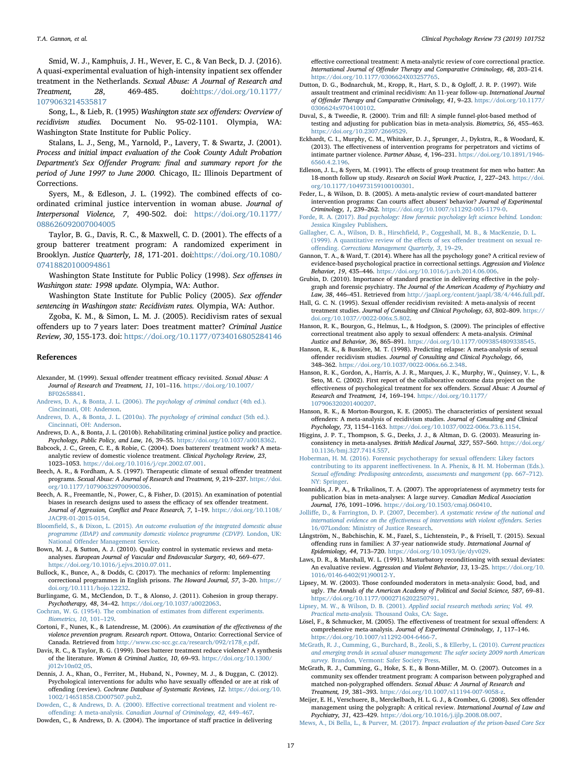Smid, W. J., Kamphuis, J. H., Wever, E. C., & Van Beck, D. J. (2016). A quasi-experimental evaluation of high-intensity inpatient sex offender treatment in the Netherlands. Sexual Abuse: A Journal of Research and Treatment, 28, 469-485. doi:[https://doi.org/10.1177/](https://doi.org/10.1177/1079063214535817) [1079063214535817](https://doi.org/10.1177/1079063214535817)

Song, L., & Lieb, R. (1995) Washington state sex offenders: Overview of recidivism studies. Document No. 95-02-1101. Olympia, WA: Washington State Institute for Public Policy.

Stalans, L. J., Seng, M., Yarnold, P., Lavery, T. & Swartz, J. (2001). Process and initial impact evaluation of the Cook County Adult Probation Department's Sex Offender Program: final and summary report for the period of June 1997 to June 2000. Chicago, IL: Illinois Department of Corrections.

Syers, M., & Edleson, J. L. (1992). The combined effects of coordinated criminal justice intervention in woman abuse. Journal of Interpersonal Violence, 7, 490-502. doi: [https://doi.org/10.1177/](https://doi.org/10.1177/088626092007004005) [088626092007004005](https://doi.org/10.1177/088626092007004005)

Taylor, B. G., Davis, R. C., & Maxwell, C. D. (2001). The effects of a group batterer treatment program: A randomized experiment in Brooklyn. Justice Quarterly, 18, 171-201. doi:[https://doi.org/10.1080/](https://doi.org/10.1080/07418820100094861) [07418820100094861](https://doi.org/10.1080/07418820100094861)

Washington State Institute for Public Policy (1998). Sex offenses in Washingon state: 1998 update. Olympia, WA: Author.

Washington State Institute for Public Policy (2005). Sex offender sentencing in Washingon state: Recidivism rates. Olympia, WA: Author.

Zgoba, K. M., & Simon, L. M. J. (2005). Recidivism rates of sexual offenders up to 7 years later: Does treatment matter? Criminal Justice Review, 30, 155-173. doi: <https://doi.org/10.1177/0734016805284146>

#### References

- <span id="page-16-3"></span>Alexander, M. (1999). Sexual offender treatment efficacy revisited. Sexual Abuse: A Journal of Research and Treatment, 11, 101–116. [https://doi.org/10.1007/](https://doi.org/10.1007/BF02658841) [BF02658841.](https://doi.org/10.1007/BF02658841)
- <span id="page-16-21"></span>[Andrews, D. A., & Bonta, J. L. \(2006\).](http://refhub.elsevier.com/S0272-7358(18)30329-5/rf0010) The psychology of criminal conduct (4th ed.). [Cincinnati, OH: Anderson.](http://refhub.elsevier.com/S0272-7358(18)30329-5/rf0010)
- [Andrews, D. A., & Bonta, J. L. \(2010a\).](http://refhub.elsevier.com/S0272-7358(18)30329-5/rf0015) The psychology of criminal conduct (5th ed.). [Cincinnati, OH: Anderson.](http://refhub.elsevier.com/S0272-7358(18)30329-5/rf0015)
- <span id="page-16-22"></span>Andrews, D. A., & Bonta, J. L. (2010b). Rehabilitating criminal justice policy and practice. Psychology, Public Policy, and Law, 16, 39–55. <https://doi.org/10.1037/a0018362>.
- <span id="page-16-10"></span>Babcock, J. C., Green, C. E., & Robie, C. (2004). Does batterers' treatment work? A metaanalytic review of domestic violence treatment. Clinical Psychology Review, 23, 1023–1053. [https://doi.org/10.1016/j/cpr.2002.07.001.](https://doi.org/10.1016/j/cpr.2002.07.001)
- <span id="page-16-30"></span>Beech, A. R., & Fordham, A. S. (1997). Therapeutic climate of sexual offender treatment programs. Sexual Abuse: A Journal of Research and Treatment, 9, 219–237. [https://doi.](https://doi.org/10.1177/107906329700900306) [org/10.1177/107906329700900306](https://doi.org/10.1177/107906329700900306).
- <span id="page-16-14"></span>Beech, A. R., Freemantle, N., Power, C., & Fisher, D. (2015). An examination of potential biases in research designs used to assess the efficacy of sex offender treatment. Journal of Aggression, Conflict and Peace Research, 7, 1–19. [https://doi.org/10.1108/](https://doi.org/10.1108/JACPR-01-2015-0154) [JACPR-01-2015-0154.](https://doi.org/10.1108/JACPR-01-2015-0154)
- <span id="page-16-29"></span>Bloomfield, S., & Dixon, L. (2015). [An outcome evaluation of the integrated domestic abuse](http://refhub.elsevier.com/S0272-7358(18)30329-5/rf0040) [programme \(IDAP\) and community domestic violence programme \(CDVP\).](http://refhub.elsevier.com/S0272-7358(18)30329-5/rf0040) London, UK: National Off[ender Management Service.](http://refhub.elsevier.com/S0272-7358(18)30329-5/rf0040)
- <span id="page-16-40"></span>Bown, M. J., & Sutton, A. J. (2010). Quality control in systematic reviews and metaanalyses. European Journal of Vascular and Endovascular Surgery, 40, 669–677. [https://doi.org/10.1016/j.ejvs.2010.07.011.](https://doi.org/10.1016/j.ejvs.2010.07.011)
- <span id="page-16-20"></span>Bullock, K., Bunce, A., & Dodds, C. (2017). The mechanics of reform: Implementing correctional programmes in English prisons. The Howard Journal, 57, 3–20. [https://](https://doi.org/10.1111/hojo.12232) [doi.org/10.1111/hojo.12232](https://doi.org/10.1111/hojo.12232).
- <span id="page-16-31"></span>Burlingame, G. M., McClendon, D. T., & Alonso, J. (2011). Cohesion in group therapy. Psychotherapy, 48, 34–42. [https://doi.org/10.1037/a0022063.](https://doi.org/10.1037/a0022063)
- <span id="page-16-23"></span>[Cochran, W. G. \(1954\). The combination of estimates from di](http://refhub.elsevier.com/S0272-7358(18)30329-5/rf0060)fferent experiments. [Biometrics,](http://refhub.elsevier.com/S0272-7358(18)30329-5/rf0060) 10, 101–129.
- <span id="page-16-0"></span>Cortoni, F., Nunes, K., & Latendresse, M. (2006). An examination of the effectiveness of the violence prevention program. Research report. Ottowa, Ontario: Correctional Service of Canada. Retrieved from [http://www.csc-scc.gc.ca/research/092/r178\\_e.pdf](http://www.csc-scc.gc.ca/research/092/r178_e.pdf).
- <span id="page-16-11"></span>Davis, R. C., & Taylor, B. G. (1999). Does batterer treatment reduce violence? A synthesis of the literature. Women & Criminal Justice, 10, 69–93. [https://doi.org/10.1300/](https://doi.org/10.1300/j012v10n02_05) [j012v10n02\\_05.](https://doi.org/10.1300/j012v10n02_05)
- <span id="page-16-15"></span>Dennis, J. A., Khan, O., Ferriter, M., Huband, N., Powney, M. J., & Duggan, C. (2012). Psychological interventions for adults who have sexually offended or are at risk of offending (review). Cochrane Database of Systematic Reviews, 12. [https://doi.org/10.](https://doi.org/10.1002/14651858.CD007507.pub2) [1002/14651858.CD007507.pub2.](https://doi.org/10.1002/14651858.CD007507.pub2)
- <span id="page-16-1"></span>Dowden, C., & Andrews, D. A. (2000). Eff[ective correctional treatment and violent re](http://refhub.elsevier.com/S0272-7358(18)30329-5/rf0075)offending: A meta-analysis. [Canadian Journal of Criminology, 42](http://refhub.elsevier.com/S0272-7358(18)30329-5/rf0075), 449–467.
- <span id="page-16-17"></span>Dowden, C., & Andrews, D. A. (2004). The importance of staff practice in delivering

effective correctional treatment: A meta-analytic review of core correctional practice. International Journal of Offender Therapy and Comparative Criminology, 48, 203–214. <https://doi.org/10.1177/0306624X03257765>.

- <span id="page-16-28"></span>Dutton, D. G., Bodnarchuk, M., Kropp, R., Hart, S. D., & Ogloff, J. R. P. (1997). Wife assault treatment and criminal recidivism: An 11-year follow-up. International Journal of Offender Therapy and Comparative Criminology, 41, 9–23. [https://doi.org/10.1177/](https://doi.org/10.1177/0306624x9704100102) [0306624x9704100102.](https://doi.org/10.1177/0306624x9704100102)
- <span id="page-16-26"></span>Duval, S., & Tweedie, R. (2000). Trim and fill: A simple funnel-plot-based method of testing and adjusting for publication bias in meta-analysis. Biometrics, 56, 455–463. [https://doi.org/10.2307/2669529.](https://doi.org/10.2307/2669529)
- <span id="page-16-12"></span>Eckhardt, C. I., Murphy, C. M., Whitaker, D. J., Sprunger, J., Dykstra, R., & Woodard, K. (2013). The effectiveness of intervention programs for perpetrators and victims of intimate partner violence. Partner Abuse, 4, 196–231. [https://doi.org/10.1891/1946-](https://doi.org/10.1891/1946-6560.4.2.196) [6560.4.2.196](https://doi.org/10.1891/1946-6560.4.2.196).
- <span id="page-16-39"></span>Edleson, J. L., & Syers, M. (1991). The effects of group treatment for men who batter: An 18-month follow up study. Research on Social Work Practice, 1, 227–243. [https://doi.](https://doi.org/10.1177/104973159100100301) [org/10.1177/104973159100100301](https://doi.org/10.1177/104973159100100301).
- <span id="page-16-13"></span>Feder, L., & Wilson, D. B. (2005). A meta-analytic review of court-mandated batterer intervention programs: Can courts affect abusers' behavior? Journal of Experimental Criminology, 1, 239–262. [https://doi.org/10.1007/s11292-005-1179-0.](https://doi.org/10.1007/s11292-005-1179-0)
- <span id="page-16-9"></span>Forde, R. A. (2017). [Bad psychology: How forensic psychology left science behind.](http://refhub.elsevier.com/S0272-7358(18)30329-5/rf0110) London: [Jessica Kingsley Publishers](http://refhub.elsevier.com/S0272-7358(18)30329-5/rf0110).
- <span id="page-16-4"></span>Gallagher, C. A., Wilson, D. B., Hirschfi[eld, P., Coggeshall, M. B., & MacKenzie, D. L.](http://refhub.elsevier.com/S0272-7358(18)30329-5/rf0115) [\(1999\). A quantitative review of the e](http://refhub.elsevier.com/S0272-7358(18)30329-5/rf0115)ffects of sex offender treatment on sexual reoffending. [Corrections Management Quarterly, 3](http://refhub.elsevier.com/S0272-7358(18)30329-5/rf0115), 19–29.
- <span id="page-16-19"></span>Gannon, T. A., & Ward, T. (2014). Where has all the psychology gone? A critical review of evidence-based psychological practice in correctional settings. Aggression and Violence Behavior, 19, 435–446. [https://doi.org/10.1016/j.avb.2014.06.006.](https://doi.org/10.1016/j.avb.2014.06.006)
- <span id="page-16-33"></span>Grubin, D. (2010). Importance of standard practice in delivering effective in the polygraph and forensic psychiatry. The Journal of the American Academy of Psychiatry and Law, 38, 446–451. Retrieved from [http://jaapl.org/content/jaapl/38/4/446.full.pdf.](http://jaapl.org/content/jaapl/38/4/446.full.pdf)
- <span id="page-16-5"></span>Hall, G. C. N. (1995). Sexual offender recidivism revisited: A meta-analysis of recent treatment studies. Journal of Consulting and Clinical Psychology, 63, 802–809. [https://](https://doi.org/10.1037//0022-006x.5.802) [doi.org/10.1037//0022-006x.5.802.](https://doi.org/10.1037//0022-006x.5.802)
- <span id="page-16-16"></span>Hanson, R. K., Bourgon, G., Helmus, L., & Hodgson, S. (2009). The principles of effective correctional treatment also apply to sexual offenders: A meta-analysis. Criminal Justice and Behavior, 36, 865–891. <https://doi.org/10.1177/0093854809338545>.
- <span id="page-16-27"></span>Hanson, R. K., & Bussière, M. T. (1998). Predicting relapse: A meta-analysis of sexual offender recidivism studies. Journal of Consulting and Clinical Psychology, 66, 348–362. <https://doi.org/10.1037/0022-006x.66.2.348>.
- <span id="page-16-6"></span>Hanson, R. K., Gordon, A., Harris, A. J. R., Marques, J. K., Murphy, W., Quinsey, V. L., & Seto, M. C. (2002). First report of the collaborative outcome data project on the effectiveness of psychological treatment for sex offenders. Sexual Abuse: A Journal of Research and Treatment, 14, 169–194. [https://doi.org/10.1177/](https://doi.org/10.1177/107906320201400207) [107906320201400207](https://doi.org/10.1177/107906320201400207).
- <span id="page-16-38"></span>Hanson, R. K., & Morton-Bourgon, K. E. (2005). The characteristics of persistent sexual offenders: A meta-analysis of recidivism studies. Journal of Consulting and Clinical Psychology, 73, 1154–1163. <https://doi.org/10.1037/0022-006x.73.6.1154>.
- <span id="page-16-24"></span>Higgins, J. P. T., Thompson, S. G., Deeks, J. J., & Altman, D. G. (2003). Measuring inconsistency in meta-analyses. British Medical Journal, 327, 557–560. [https://doi.org/](https://doi.org/10.1136/bmj.327.7414.557) [10.1136/bmj.327.7414.557](https://doi.org/10.1136/bmj.327.7414.557).
- <span id="page-16-18"></span>[Hoberman, H. M. \(2016\). Forensic psychotherapy for sexual o](http://refhub.elsevier.com/S0272-7358(18)30329-5/rf0160)ffenders: Likey factors contributing to its apparent ineff[ectiveness. In A. Phenix, & H. M. Hoberman \(Eds.\).](http://refhub.elsevier.com/S0272-7358(18)30329-5/rf0160) Sexual off[ending: Predisposing antecedents, assessments and mangement](http://refhub.elsevier.com/S0272-7358(18)30329-5/rf0160) (pp. 667–712). [NY: Springer.](http://refhub.elsevier.com/S0272-7358(18)30329-5/rf0160)
- <span id="page-16-25"></span>Ioannidis, J. P. A., & Trikalinos, T. A. (2007). The appropriateness of asymmetry tests for publication bias in meta-analyses: A large survey. Canadian Medical Association Journal, 176, 1091–1096. [https://doi.org/10.1503/cmaj.060410.](https://doi.org/10.1503/cmaj.060410)
- <span id="page-16-2"></span>Jolliff[e, D., & Farrington, D. P. \(2007, December\).](http://refhub.elsevier.com/S0272-7358(18)30329-5/rf0170) A systematic review of the national and international evidence on the eff[ectiveness of interventions with violent o](http://refhub.elsevier.com/S0272-7358(18)30329-5/rf0170)ffenders. Series [16/07London: Ministry of Justice Research](http://refhub.elsevier.com/S0272-7358(18)30329-5/rf0170).
- <span id="page-16-37"></span>Långström, N., Babchischin, K. M., Fazel, S., Lichtenstein, P., & Frisell, T. (2015). Sexual offending runs in families: A 37-year nationwide study. International Journal of Epidemiology, 44, 713–720. <https://doi.org/10.1093/ije/dyv029>.
- <span id="page-16-36"></span>Laws, D. R., & Marshall, W. L. (1991). Masturbatory reconditioning with sexual deviates: An evaluative review. Aggression and Violent Behavior, 13, 13–25. [https://doi.org/10.](https://doi.org/10.1016/0146-6402(91)90012-Y) [1016/0146-6402\(91\)90012-Y.](https://doi.org/10.1016/0146-6402(91)90012-Y)
- <span id="page-16-42"></span>Lipsey, M. W. (2003). Those confounded moderators in meta-analysis: Good, bad, and ugly. The Annals of the American Academy of Political and Social Science, 587, 69–81. [https://doi.org/10.1177/0002716202250791.](https://doi.org/10.1177/0002716202250791)
- <span id="page-16-41"></span>Lipsey, M. W., & Wilson, D. B. (2001). [Applied social research methods series; Vol. 49.](http://refhub.elsevier.com/S0272-7358(18)30329-5/rf0190) Practical meta-analysis. [Thousand Oaks, CA: Sage](http://refhub.elsevier.com/S0272-7358(18)30329-5/rf0190).
- <span id="page-16-7"></span>Lösel, F., & Schmucker, M. (2005). The effectiveness of treatment for sexual offenders: A comprehensive meta-analysis. Journal of Experimental Criminology, 1, 117–146. [https://doi.org/10.1007/s11292-004-6466-7.](https://doi.org/10.1007/s11292-004-6466-7)
- <span id="page-16-32"></span>[McGrath, R. J., Cumming, G., Burchard, B., Zeoli, S., & Ellerby, L. \(2010\).](http://refhub.elsevier.com/S0272-7358(18)30329-5/rf0200) Current practices [and emerging trends in sexual abuser management: The safer society 2009 north American](http://refhub.elsevier.com/S0272-7358(18)30329-5/rf0200) survey. [Brandon, Vermont: Safer Society Press.](http://refhub.elsevier.com/S0272-7358(18)30329-5/rf0200)
- <span id="page-16-34"></span>McGrath, R. J., Cumming, G., Hoke, S. E., & Bonn-Miller, M. O. (2007). Outcomes in a community sex offender treatment program: A comparison between polygraphed and matched non-polygraphed offenders. Sexual Abuse: A Journal of Research and Treatment, 19, 381–393. [https://doi.org/10.1007/s11194-007-9058-z.](https://doi.org/10.1007/s11194-007-9058-z)
- <span id="page-16-35"></span>Meijer, E. H., Verschuere, B., Merckelbach, H. L. G. J., & Crombez, G. (2008). Sex offender management using the polygraph: A critical review. International Journal of Law and Psychiatry, 31, 423–429. <https://doi.org/10.1016/j.ijlp.2008.08.007>.
- <span id="page-16-8"></span>Mews, A., Di Bella, L., & Purver, M. (2017). [Impact evaluation of the prison-based Core Sex](http://refhub.elsevier.com/S0272-7358(18)30329-5/rf0215)